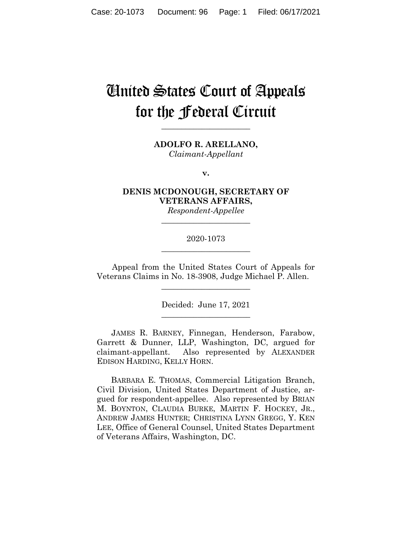# United States Court of Appeals for the Federal Circuit

**\_\_\_\_\_\_\_\_\_\_\_\_\_\_\_\_\_\_\_\_\_\_**

**ADOLFO R. ARELLANO,** *Claimant-Appellant*

**v.**

**DENIS MCDONOUGH, SECRETARY OF VETERANS AFFAIRS,**

*Respondent-Appellee* **\_\_\_\_\_\_\_\_\_\_\_\_\_\_\_\_\_\_\_\_\_\_**

# 2020-1073 **\_\_\_\_\_\_\_\_\_\_\_\_\_\_\_\_\_\_\_\_\_\_**

Appeal from the United States Court of Appeals for Veterans Claims in No. 18-3908, Judge Michael P. Allen.

 $\overline{\phantom{a}}$  , where  $\overline{\phantom{a}}$  , where  $\overline{\phantom{a}}$  , where  $\overline{\phantom{a}}$ 

Decided: June 17, 2021  $\overline{\phantom{a}}$  , where  $\overline{\phantom{a}}$  , where  $\overline{\phantom{a}}$  , where  $\overline{\phantom{a}}$ 

JAMES R. BARNEY, Finnegan, Henderson, Farabow, Garrett & Dunner, LLP, Washington, DC, argued for claimant-appellant. Also represented by ALEXANDER EDISON HARDING, KELLY HORN.

 BARBARA E. THOMAS, Commercial Litigation Branch, Civil Division, United States Department of Justice, argued for respondent-appellee. Also represented by BRIAN M. BOYNTON, CLAUDIA BURKE, MARTIN F. HOCKEY, JR., ANDREW JAMES HUNTER; CHRISTINA LYNN GREGG, Y. KEN LEE, Office of General Counsel, United States Department of Veterans Affairs, Washington, DC.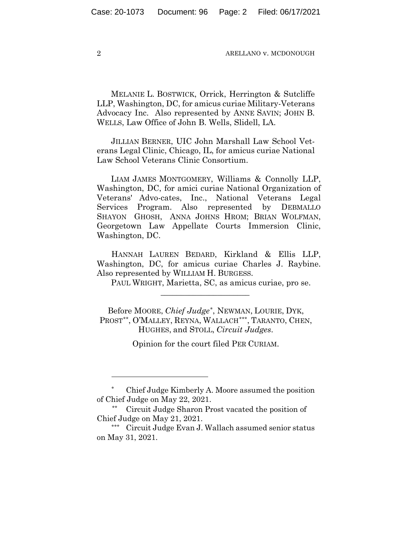MELANIE L. BOSTWICK, Orrick, Herrington & Sutcliffe LLP, Washington, DC, for amicus curiae Military-Veterans Advocacy Inc. Also represented by ANNE SAVIN; JOHN B. WELLS, Law Office of John B. Wells, Slidell, LA.

JILLIAN BERNER, UIC John Marshall Law School Veterans Legal Clinic, Chicago, IL, for amicus curiae National Law School Veterans Clinic Consortium.

LIAM JAMES MONTGOMERY, Williams & Connolly LLP, Washington, DC, for amici curiae National Organization of Veterans' Advo-cates, Inc., National Veterans Legal Services Program. Also represented by DEBMALLO SHAYON GHOSH, ANNA JOHNS HROM; BRIAN WOLFMAN, Georgetown Law Appellate Courts Immersion Clinic, Washington, DC.

HANNAH LAUREN BEDARD, Kirkland & Ellis LLP, Washington, DC, for amicus curiae Charles J. Raybine. Also represented by WILLIAM H. BURGESS.

PAUL WRIGHT, Marietta, SC, as amicus curiae, pro se.

Before MOORE, *Chief Judge[\\*](#page-1-0)*, NEWMAN, LOURIE, DYK, PROST[\\*\\*](#page-1-1), O'MALLEY, REYNA, WALLACH[\\*\\*\\*,](#page-1-2) TARANTO, CHEN, HUGHES, and STOLL, *Circuit Judges*.

 $\overline{\phantom{a}}$  , we can assume that the contract of the contract of  $\overline{\phantom{a}}$ 

Opinion for the court filed PER CURIAM.

<span id="page-1-0"></span><sup>\*</sup> Chief Judge Kimberly A. Moore assumed the position of Chief Judge on May 22, 2021.

<span id="page-1-1"></span><sup>\*\*</sup> Circuit Judge Sharon Prost vacated the position of Chief Judge on May 21, 2021.

<span id="page-1-2"></span><sup>\*\*\*</sup> Circuit Judge Evan J. Wallach assumed senior status on May 31, 2021.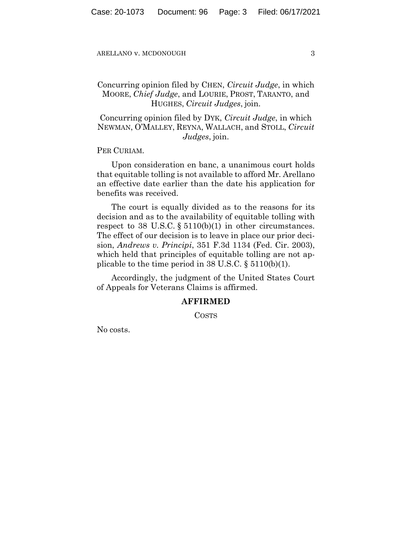# Concurring opinion filed by CHEN, *Circuit Judge*, in which MOORE, *Chief Judge*, and LOURIE, PROST, TARANTO, and HUGHES, *Circuit Judges*, join.

Concurring opinion filed by DYK, *Circuit Judge*, in which NEWMAN, O'MALLEY, REYNA, WALLACH, and STOLL, *Circuit Judges*, join.

PER CURIAM.

Upon consideration en banc, a unanimous court holds that equitable tolling is not available to afford Mr. Arellano an effective date earlier than the date his application for benefits was received.

The court is equally divided as to the reasons for its decision and as to the availability of equitable tolling with respect to 38 U.S.C. § 5110(b)(1) in other circumstances. The effect of our decision is to leave in place our prior decision, *Andrews v. Principi*, 351 F.3d 1134 (Fed. Cir. 2003), which held that principles of equitable tolling are not applicable to the time period in 38 U.S.C. § 5110(b)(1).

Accordingly, the judgment of the United States Court of Appeals for Veterans Claims is affirmed.

## **AFFIRMED**

COSTS

No costs.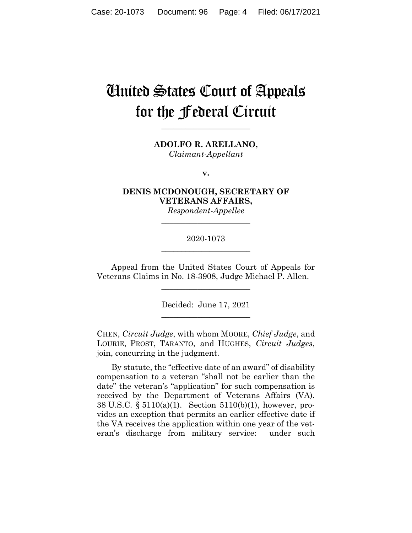# United States Court of Appeals for the Federal Circuit

**\_\_\_\_\_\_\_\_\_\_\_\_\_\_\_\_\_\_\_\_\_\_**

**ADOLFO R. ARELLANO,** *Claimant-Appellant*

**v.**

**DENIS MCDONOUGH, SECRETARY OF VETERANS AFFAIRS,**

*Respondent-Appellee* **\_\_\_\_\_\_\_\_\_\_\_\_\_\_\_\_\_\_\_\_\_\_**

# 2020-1073 **\_\_\_\_\_\_\_\_\_\_\_\_\_\_\_\_\_\_\_\_\_\_**

Appeal from the United States Court of Appeals for Veterans Claims in No. 18-3908, Judge Michael P. Allen.

 $\overline{\phantom{a}}$  , where  $\overline{\phantom{a}}$  , where  $\overline{\phantom{a}}$  , where  $\overline{\phantom{a}}$ 

Decided: June 17, 2021  $\overline{\phantom{a}}$  , where  $\overline{\phantom{a}}$  , where  $\overline{\phantom{a}}$  , where  $\overline{\phantom{a}}$ 

CHEN, *Circuit Judge*, with whom MOORE, *Chief Judge*, and LOURIE, PROST, TARANTO, and HUGHES, *Circuit Judges*, join, concurring in the judgment.

By statute, the "effective date of an award" of disability compensation to a veteran "shall not be earlier than the date" the veteran's "application" for such compensation is received by the Department of Veterans Affairs (VA). 38 U.S.C. § 5110(a)(1). Section 5110(b)(1), however, provides an exception that permits an earlier effective date if the VA receives the application within one year of the veteran's discharge from military service: under such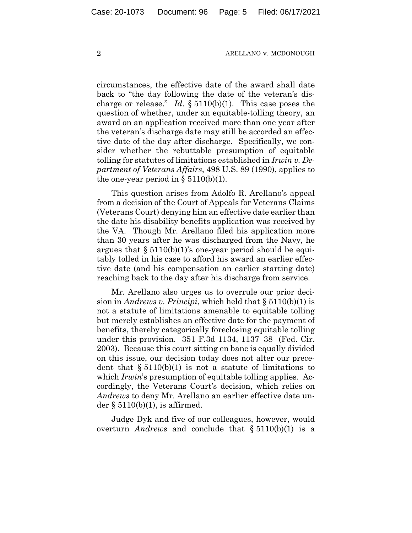circumstances, the effective date of the award shall date back to "the day following the date of the veteran's discharge or release." *Id*. § 5110(b)(1). This case poses the question of whether, under an equitable-tolling theory, an award on an application received more than one year after the veteran's discharge date may still be accorded an effective date of the day after discharge. Specifically, we consider whether the rebuttable presumption of equitable tolling for statutes of limitations established in *Irwin v. Department of Veterans Affairs*, 498 U.S. 89 (1990), applies to the one-year period in  $\S 5110(b)(1)$ .

This question arises from Adolfo R. Arellano's appeal from a decision of the Court of Appeals for Veterans Claims (Veterans Court) denying him an effective date earlier than the date his disability benefits application was received by the VA. Though Mr. Arellano filed his application more than 30 years after he was discharged from the Navy, he argues that  $\S 5110(b)(1)$ 's one-year period should be equitably tolled in his case to afford his award an earlier effective date (and his compensation an earlier starting date) reaching back to the day after his discharge from service.

Mr. Arellano also urges us to overrule our prior decision in *Andrews v. Principi*, which held that § 5110(b)(1) is not a statute of limitations amenable to equitable tolling but merely establishes an effective date for the payment of benefits, thereby categorically foreclosing equitable tolling under this provision. 351 F.3d 1134, 1137–38 (Fed. Cir. 2003). Because this court sitting en banc is equally divided on this issue, our decision today does not alter our precedent that  $\S 5110(b)(1)$  is not a statute of limitations to which *Irwin*'s presumption of equitable tolling applies. Accordingly, the Veterans Court's decision, which relies on *Andrews* to deny Mr. Arellano an earlier effective date under  $\S 5110(b)(1)$ , is affirmed.

Judge Dyk and five of our colleagues, however, would overturn *Andrews* and conclude that § 5110(b)(1) is a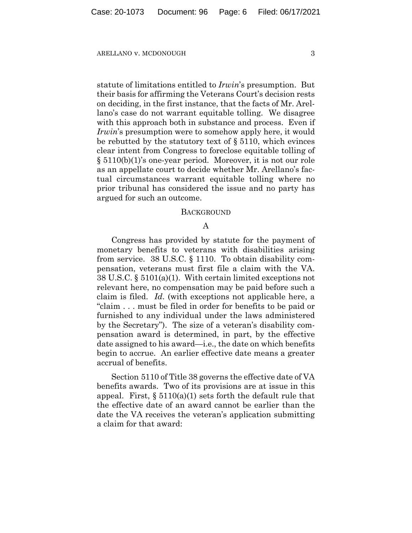statute of limitations entitled to *Irwin*'s presumption. But their basis for affirming the Veterans Court's decision rests on deciding, in the first instance, that the facts of Mr. Arellano's case do not warrant equitable tolling. We disagree with this approach both in substance and process. Even if *Irwin*'s presumption were to somehow apply here, it would be rebutted by the statutory text of § 5110, which evinces clear intent from Congress to foreclose equitable tolling of § 5110(b)(1)'s one-year period. Moreover, it is not our role as an appellate court to decide whether Mr. Arellano's factual circumstances warrant equitable tolling where no prior tribunal has considered the issue and no party has argued for such an outcome.

## **BACKGROUND**

# A

Congress has provided by statute for the payment of monetary benefits to veterans with disabilities arising from service. 38 U.S.C. § 1110. To obtain disability compensation, veterans must first file a claim with the VA. 38 U.S.C. § 5101(a)(1). With certain limited exceptions not relevant here, no compensation may be paid before such a claim is filed. *Id*. (with exceptions not applicable here, a "claim . . . must be filed in order for benefits to be paid or furnished to any individual under the laws administered by the Secretary"). The size of a veteran's disability compensation award is determined, in part, by the effective date assigned to his award—i.e., the date on which benefits begin to accrue. An earlier effective date means a greater accrual of benefits.

Section 5110 of Title 38 governs the effective date of VA benefits awards. Two of its provisions are at issue in this appeal. First,  $\S 5110(a)(1)$  sets forth the default rule that the effective date of an award cannot be earlier than the date the VA receives the veteran's application submitting a claim for that award: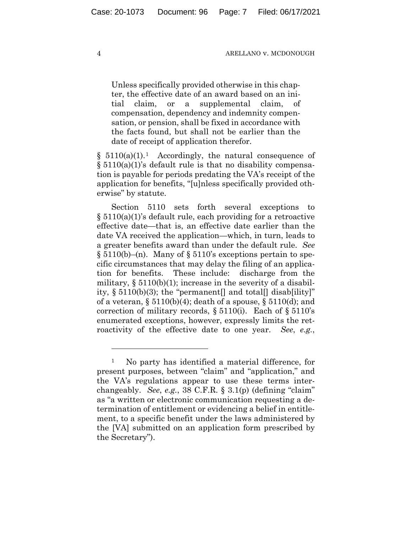Unless specifically provided otherwise in this chapter, the effective date of an award based on an initial claim, or a supplemental claim, of compensation, dependency and indemnity compensation, or pension, shall be fixed in accordance with the facts found, but shall not be earlier than the date of receipt of application therefor.

 $§ 5110(a)(1).<sup>1</sup>$  Accordingly, the natural consequence of § 5110(a)(1)'s default rule is that no disability compensation is payable for periods predating the VA's receipt of the application for benefits, "[u]nless specifically provided otherwise" by statute.

Section 5110 sets forth several exceptions to § 5110(a)(1)'s default rule, each providing for a retroactive effective date—that is, an effective date earlier than the date VA received the application—which, in turn, leads to a greater benefits award than under the default rule. *See*  $\S 5110(b)$ –(n). Many of  $\S 5110$ 's exceptions pertain to specific circumstances that may delay the filing of an application for benefits. These include: discharge from the military,  $\S 5110(b)(1)$ ; increase in the severity of a disability,  $\S 5110(b)(3)$ ; the "permanent] and total[] disab[ility]" of a veteran,  $\S 5110(b)(4)$ ; death of a spouse,  $\S 5110(d)$ ; and correction of military records,  $\S 5110(i)$ . Each of  $\S 5110's$ enumerated exceptions, however, expressly limits the retroactivity of the effective date to one year. *See*, *e.g.*,

<span id="page-6-0"></span><sup>1</sup> No party has identified a material difference, for present purposes, between "claim" and "application," and the VA's regulations appear to use these terms interchangeably. *See*, *e.g.*, 38 C.F.R. § 3.1(p) (defining "claim" as "a written or electronic communication requesting a determination of entitlement or evidencing a belief in entitlement, to a specific benefit under the laws administered by the [VA] submitted on an application form prescribed by the Secretary").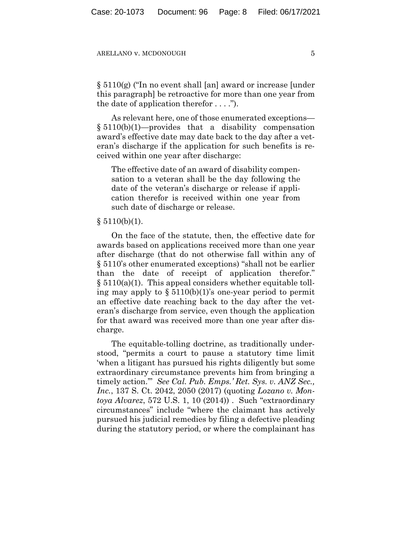§ 5110(g) ("In no event shall [an] award or increase [under this paragraph] be retroactive for more than one year from the date of application therefor  $\dots$ .").

As relevant here, one of those enumerated exceptions—  $§ 5110(b)(1)$ —provides that a disability compensation award's effective date may date back to the day after a veteran's discharge if the application for such benefits is received within one year after discharge:

The effective date of an award of disability compensation to a veteran shall be the day following the date of the veteran's discharge or release if application therefor is received within one year from such date of discharge or release.

## $§ 5110(b)(1).$

On the face of the statute, then, the effective date for awards based on applications received more than one year after discharge (that do not otherwise fall within any of § 5110's other enumerated exceptions) "shall not be earlier than the date of receipt of application therefor."  $\S 5110(a)(1)$ . This appeal considers whether equitable tolling may apply to  $\S 5110(b)(1)$ 's one-year period to permit an effective date reaching back to the day after the veteran's discharge from service, even though the application for that award was received more than one year after discharge.

The equitable-tolling doctrine, as traditionally understood, "permits a court to pause a statutory time limit 'when a litigant has pursued his rights diligently but some extraordinary circumstance prevents him from bringing a timely action.'" *See Cal. Pub. Emps.' Ret. Sys. v. ANZ Sec., Inc.*, 137 S. Ct. 2042, 2050 (2017) (quoting *Lozano v. Montoya Alvarez*, 572 U.S. 1, 10 (2014)) . Such "extraordinary circumstances" include "where the claimant has actively pursued his judicial remedies by filing a defective pleading during the statutory period, or where the complainant has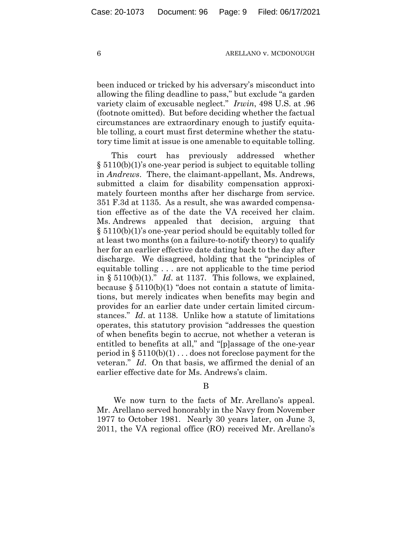been induced or tricked by his adversary's misconduct into allowing the filing deadline to pass," but exclude "a garden variety claim of excusable neglect." *Irwin*, 498 U.S. at .96 (footnote omitted). But before deciding whether the factual circumstances are extraordinary enough to justify equitable tolling, a court must first determine whether the statutory time limit at issue is one amenable to equitable tolling.

This court has previously addressed whether § 5110(b)(1)'s one-year period is subject to equitable tolling in *Andrews*. There, the claimant-appellant, Ms. Andrews, submitted a claim for disability compensation approximately fourteen months after her discharge from service. 351 F.3d at 1135. As a result, she was awarded compensation effective as of the date the VA received her claim. Ms. Andrews appealed that decision, arguing that § 5110(b)(1)'s one-year period should be equitably tolled for at least two months (on a failure-to-notify theory) to qualify her for an earlier effective date dating back to the day after discharge. We disagreed, holding that the "principles of equitable tolling . . . are not applicable to the time period in  $\S 5110(b)(1)$ ." *Id.* at 1137. This follows, we explained, because § 5110(b)(1) "does not contain a statute of limitations, but merely indicates when benefits may begin and provides for an earlier date under certain limited circumstances." *Id*. at 1138. Unlike how a statute of limitations operates, this statutory provision "addresses the question of when benefits begin to accrue, not whether a veteran is entitled to benefits at all," and "[p]assage of the one-year period in  $\S 5110(b)(1)$ ... does not foreclose payment for the veteran." *Id*. On that basis, we affirmed the denial of an earlier effective date for Ms. Andrews's claim.

## B

We now turn to the facts of Mr. Arellano's appeal. Mr. Arellano served honorably in the Navy from November 1977 to October 1981. Nearly 30 years later, on June 3, 2011, the VA regional office (RO) received Mr. Arellano's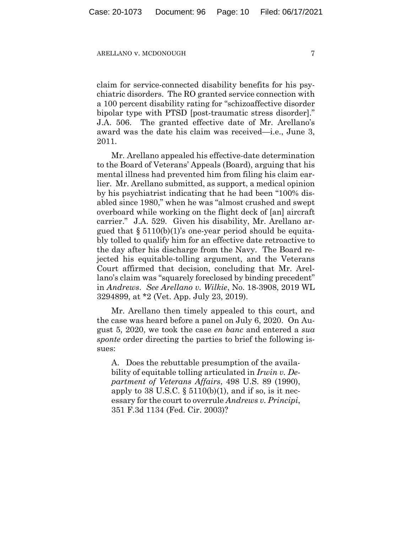claim for service-connected disability benefits for his psychiatric disorders. The RO granted service connection with a 100 percent disability rating for "schizoaffective disorder bipolar type with PTSD [post-traumatic stress disorder]." J.A. 506. The granted effective date of Mr. Arellano's award was the date his claim was received—i.e., June 3, 2011.

Mr. Arellano appealed his effective-date determination to the Board of Veterans' Appeals (Board), arguing that his mental illness had prevented him from filing his claim earlier. Mr. Arellano submitted, as support, a medical opinion by his psychiatrist indicating that he had been "100% disabled since 1980," when he was "almost crushed and swept overboard while working on the flight deck of [an] aircraft carrier." J.A. 529. Given his disability, Mr. Arellano argued that § 5110(b)(1)'s one-year period should be equitably tolled to qualify him for an effective date retroactive to the day after his discharge from the Navy. The Board rejected his equitable-tolling argument, and the Veterans Court affirmed that decision, concluding that Mr. Arellano's claim was "squarely foreclosed by binding precedent" in *Andrews*. *See Arellano v. Wilkie*, No. 18-3908, 2019 WL 3294899, at \*2 (Vet. App. July 23, 2019).

Mr. Arellano then timely appealed to this court, and the case was heard before a panel on July 6, 2020. On August 5, 2020, we took the case *en banc* and entered a *sua sponte* order directing the parties to brief the following issues:

A. Does the rebuttable presumption of the availability of equitable tolling articulated in *Irwin v. Department of Veterans Affairs*, 498 U.S. 89 (1990), apply to 38 U.S.C.  $\S$  5110(b)(1), and if so, is it necessary for the court to overrule *Andrews v. Principi*, 351 F.3d 1134 (Fed. Cir. 2003)?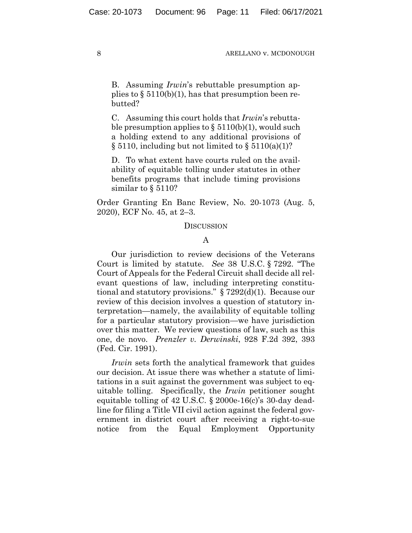B. Assuming *Irwin*'s rebuttable presumption applies to  $\S 5110(b)(1)$ , has that presumption been rebutted?

C. Assuming this court holds that *Irwin*'s rebuttable presumption applies to  $\S$  5110(b)(1), would such a holding extend to any additional provisions of  $\S 5110$ , including but not limited to  $\S 5110(a)(1)$ ?

D. To what extent have courts ruled on the availability of equitable tolling under statutes in other benefits programs that include timing provisions similar to § 5110?

Order Granting En Banc Review, No. 20-1073 (Aug. 5, 2020), ECF No. 45, at 2–3.

## **DISCUSSION**

## A

Our jurisdiction to review decisions of the Veterans Court is limited by statute. *See* 38 U.S.C. § 7292. "The Court of Appeals for the Federal Circuit shall decide all relevant questions of law, including interpreting constitutional and statutory provisions." § 7292(d)(1). Because our review of this decision involves a question of statutory interpretation—namely, the availability of equitable tolling for a particular statutory provision—we have jurisdiction over this matter. We review questions of law, such as this one, de novo. *Prenzler v. Derwinski*, 928 F.2d 392, 393 (Fed. Cir. 1991).

*Irwin* sets forth the analytical framework that guides our decision. At issue there was whether a statute of limitations in a suit against the government was subject to equitable tolling. Specifically, the *Irwin* petitioner sought equitable tolling of 42 U.S.C. § 2000e-16(c)'s 30-day deadline for filing a Title VII civil action against the federal government in district court after receiving a right-to-sue notice from the Equal Employment Opportunity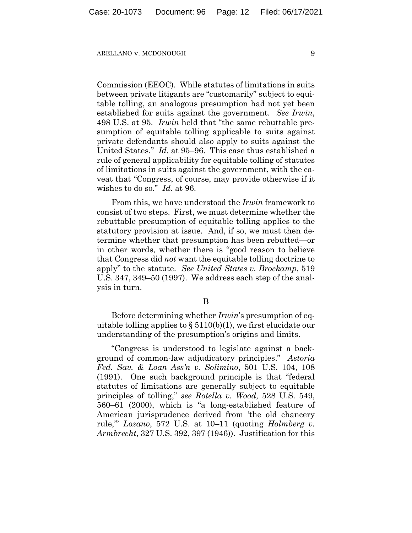Commission (EEOC). While statutes of limitations in suits between private litigants are "customarily" subject to equitable tolling, an analogous presumption had not yet been established for suits against the government. *See Irwin*, 498 U.S. at 95. *Irwin* held that "the same rebuttable presumption of equitable tolling applicable to suits against private defendants should also apply to suits against the United States." *Id.* at 95–96. This case thus established a rule of general applicability for equitable tolling of statutes of limitations in suits against the government, with the caveat that "Congress, of course, may provide otherwise if it wishes to do so." *Id.* at 96.

From this, we have understood the *Irwin* framework to consist of two steps. First, we must determine whether the rebuttable presumption of equitable tolling applies to the statutory provision at issue. And, if so, we must then determine whether that presumption has been rebutted—or in other words, whether there is "good reason to believe that Congress did *not* want the equitable tolling doctrine to apply" to the statute. *See United States v. Brockamp*, 519 U.S. 347, 349–50 (1997). We address each step of the analysis in turn.

B

Before determining whether *Irwin*'s presumption of equitable tolling applies to  $\S 5110(b)(1)$ , we first elucidate our understanding of the presumption's origins and limits.

"Congress is understood to legislate against a background of common-law adjudicatory principles." *Astoria Fed. Sav. & Loan Ass'n v. Solimino*, 501 U.S. 104, 108 (1991). One such background principle is that "federal statutes of limitations are generally subject to equitable principles of tolling," *see Rotella v. Wood*, 528 U.S. 549, 560–61 (2000), which is "a long-established feature of American jurisprudence derived from 'the old chancery rule,'" *Lozano*, 572 U.S. at 10–11 (quoting *Holmberg v. Armbrecht*, 327 U.S. 392, 397 (1946)). Justification for this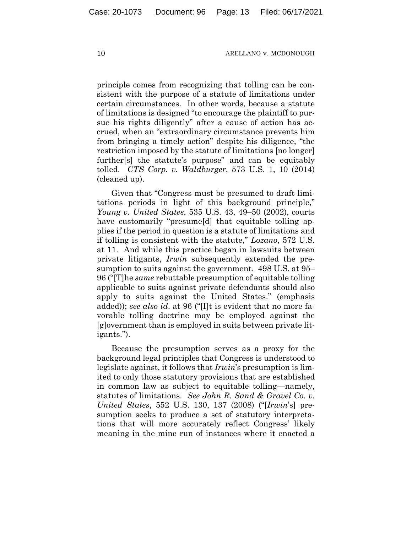principle comes from recognizing that tolling can be consistent with the purpose of a statute of limitations under certain circumstances. In other words, because a statute of limitations is designed "to encourage the plaintiff to pursue his rights diligently" after a cause of action has accrued, when an "extraordinary circumstance prevents him from bringing a timely action" despite his diligence, "the restriction imposed by the statute of limitations [no longer] further[s] the statute's purpose" and can be equitably tolled. *CTS Corp. v. Waldburger*, 573 U.S. 1, 10 (2014) (cleaned up).

Given that "Congress must be presumed to draft limitations periods in light of this background principle," *Young v. United States*, 535 U.S. 43, 49–50 (2002), courts have customarily "presume[d] that equitable tolling applies if the period in question is a statute of limitations and if tolling is consistent with the statute," *Lozano*, 572 U.S. at 11. And while this practice began in lawsuits between private litigants, *Irwin* subsequently extended the presumption to suits against the government. 498 U.S. at 95– 96 ("[T]he *same* rebuttable presumption of equitable tolling applicable to suits against private defendants should also apply to suits against the United States." (emphasis added)); *see also id*. at 96 ("[I]t is evident that no more favorable tolling doctrine may be employed against the [g]overnment than is employed in suits between private litigants.").

Because the presumption serves as a proxy for the background legal principles that Congress is understood to legislate against, it follows that *Irwin*'s presumption is limited to only those statutory provisions that are established in common law as subject to equitable tolling—namely, statutes of limitations. *See John R. Sand & Gravel Co. v. United States*, 552 U.S. 130, 137 (2008) ("[*Irwin*'s] presumption seeks to produce a set of statutory interpretations that will more accurately reflect Congress' likely meaning in the mine run of instances where it enacted a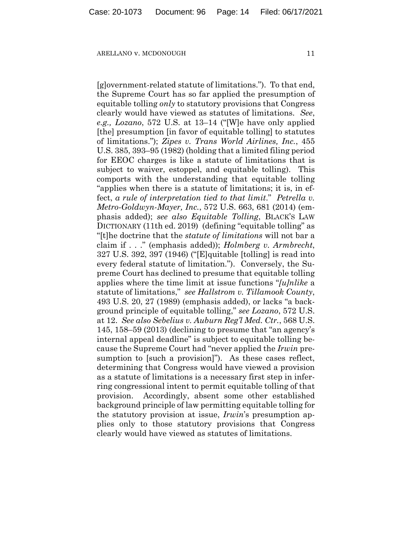[g]overnment-related statute of limitations."). To that end, the Supreme Court has so far applied the presumption of equitable tolling *only* to statutory provisions that Congress clearly would have viewed as statutes of limitations. *See*, *e.g., Lozano*, 572 U.S. at 13–14 ("[W]e have only applied [the] presumption [in favor of equitable tolling] to statutes of limitations."); *Zipes v. Trans World Airlines, Inc.*, 455 U.S. 385, 393–95 (1982) (holding that a limited filing period for EEOC charges is like a statute of limitations that is subject to waiver, estoppel, and equitable tolling). This comports with the understanding that equitable tolling "applies when there is a statute of limitations; it is, in effect, *a rule of interpretation tied to that limit*." *Petrella v. Metro-Goldwyn-Mayer, Inc.*, 572 U.S. 663, 681 (2014) (emphasis added); *see also Equitable Tolling*, BLACK'S LAW DICTIONARY (11th ed. 2019) (defining "equitable tolling" as "[t]he doctrine that the *statute of limitations* will not bar a claim if . . ." (emphasis added)); *Holmberg v. Armbrecht*, 327 U.S. 392, 397 (1946) ("[E]quitable [tolling] is read into every federal statute of limitation."). Conversely, the Supreme Court has declined to presume that equitable tolling applies where the time limit at issue functions "*[u]nlike* a statute of limitations," *see Hallstrom v. Tillamook County*, 493 U.S. 20, 27 (1989) (emphasis added), or lacks "a background principle of equitable tolling," *see Lozano*, 572 U.S. at 12. *See also Sebelius v. Auburn Reg'l Med. Ctr.*, 568 U.S. 145, 158–59 (2013) (declining to presume that "an agency's internal appeal deadline" is subject to equitable tolling because the Supreme Court had "never applied the *Irwin* presumption to [such a provision]"). As these cases reflect, determining that Congress would have viewed a provision as a statute of limitations is a necessary first step in inferring congressional intent to permit equitable tolling of that provision. Accordingly, absent some other established background principle of law permitting equitable tolling for the statutory provision at issue, *Irwin*'s presumption applies only to those statutory provisions that Congress clearly would have viewed as statutes of limitations.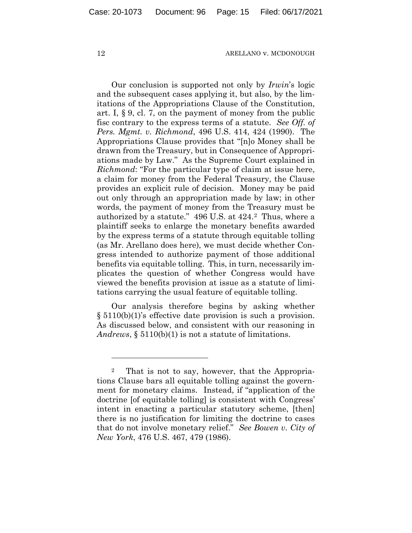Our conclusion is supported not only by *Irwin*'s logic and the subsequent cases applying it, but also, by the limitations of the Appropriations Clause of the Constitution, art. I, § 9, cl. 7, on the payment of money from the public fisc contrary to the express terms of a statute. *See Off. of Pers. Mgmt. v. Richmond*, 496 U.S. 414, 424 (1990). The Appropriations Clause provides that "[n]o Money shall be drawn from the Treasury, but in Consequence of Appropriations made by Law." As the Supreme Court explained in *Richmond*: "For the particular type of claim at issue here, a claim for money from the Federal Treasury, the Clause provides an explicit rule of decision. Money may be paid out only through an appropriation made by law; in other words, the payment of money from the Treasury must be authorized by a statute." 496 U.S. at 424.[2](#page-14-0) Thus, where a plaintiff seeks to enlarge the monetary benefits awarded by the express terms of a statute through equitable tolling (as Mr. Arellano does here), we must decide whether Congress intended to authorize payment of those additional benefits via equitable tolling. This, in turn, necessarily implicates the question of whether Congress would have viewed the benefits provision at issue as a statute of limitations carrying the usual feature of equitable tolling.

Our analysis therefore begins by asking whether § 5110(b)(1)'s effective date provision is such a provision. As discussed below, and consistent with our reasoning in *Andrews*, § 5110(b)(1) is not a statute of limitations.

<span id="page-14-0"></span><sup>2</sup> That is not to say, however, that the Appropriations Clause bars all equitable tolling against the government for monetary claims. Instead, if "application of the doctrine [of equitable tolling] is consistent with Congress' intent in enacting a particular statutory scheme, [then] there is no justification for limiting the doctrine to cases that do not involve monetary relief." *See Bowen v. City of New York*, 476 U.S. 467, 479 (1986).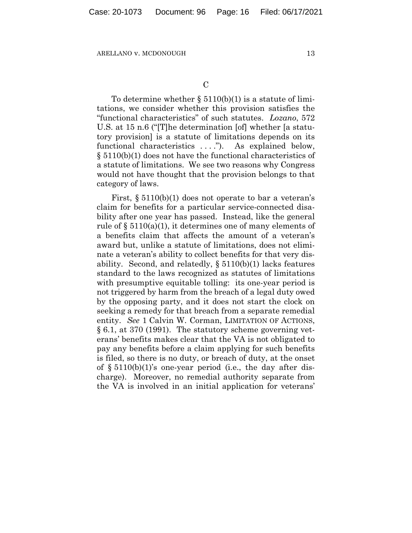To determine whether  $\S 5110(b)(1)$  is a statute of limitations, we consider whether this provision satisfies the "functional characteristics" of such statutes. *Lozano*, 572 U.S. at 15 n.6 ("[T]he determination [of] whether [a statutory provision] is a statute of limitations depends on its functional characteristics ...."). As explained below, § 5110(b)(1) does not have the functional characteristics of a statute of limitations. We see two reasons why Congress would not have thought that the provision belongs to that category of laws.

First, § 5110(b)(1) does not operate to bar a veteran's claim for benefits for a particular service-connected disability after one year has passed. Instead, like the general rule of § 5110(a)(1), it determines one of many elements of a benefits claim that affects the amount of a veteran's award but, unlike a statute of limitations, does not eliminate a veteran's ability to collect benefits for that very disability. Second, and relatedly,  $\S 5110(b)(1)$  lacks features standard to the laws recognized as statutes of limitations with presumptive equitable tolling: its one-year period is not triggered by harm from the breach of a legal duty owed by the opposing party, and it does not start the clock on seeking a remedy for that breach from a separate remedial entity. *See* 1 Calvin W. Corman, LIMITATION OF ACTIONS, § 6.1, at 370 (1991). The statutory scheme governing veterans' benefits makes clear that the VA is not obligated to pay any benefits before a claim applying for such benefits is filed, so there is no duty, or breach of duty, at the onset of  $\S 5110(b)(1)$ 's one-year period (i.e., the day after discharge). Moreover, no remedial authority separate from the VA is involved in an initial application for veterans'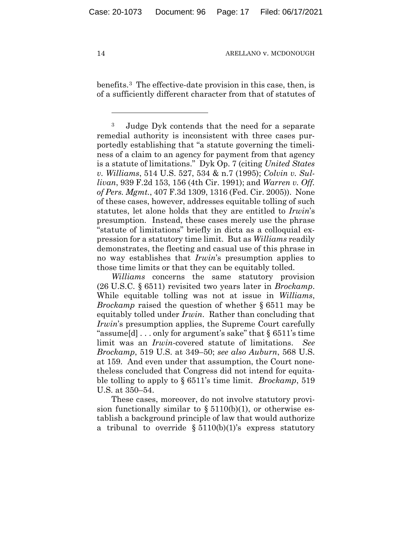benefits.[3](#page-16-0) The effective-date provision in this case, then, is of a sufficiently different character from that of statutes of

*Williams* concerns the same statutory provision (26 U.S.C. § 6511) revisited two years later in *Brockamp*. While equitable tolling was not at issue in *Williams*, *Brockamp* raised the question of whether § 6511 may be equitably tolled under *Irwin*. Rather than concluding that *Irwin*'s presumption applies, the Supreme Court carefully "assume[d] . . . only for argument's sake" that § 6511's time limit was an *Irwin*-covered statute of limitations. *See Brockamp*, 519 U.S. at 349–50; *see also Auburn*, 568 U.S. at 159. And even under that assumption, the Court nonetheless concluded that Congress did not intend for equitable tolling to apply to § 6511's time limit. *Brockamp*, 519 U.S. at 350–54.

These cases, moreover, do not involve statutory provision functionally similar to  $\S 5110(b)(1)$ , or otherwise establish a background principle of law that would authorize a tribunal to override  $\S 5110(b)(1)$ 's express statutory

<span id="page-16-0"></span><sup>3</sup> Judge Dyk contends that the need for a separate remedial authority is inconsistent with three cases purportedly establishing that "a statute governing the timeliness of a claim to an agency for payment from that agency is a statute of limitations." Dyk Op. 7 (citing *United States v. Williams*, 514 U.S. 527, 534 & n.7 (1995); *Colvin v. Sullivan*, 939 F.2d 153, 156 (4th Cir. 1991); and *Warren v. Off. of Pers. Mgmt.*, 407 F.3d 1309, 1316 (Fed. Cir. 2005)). None of these cases, however, addresses equitable tolling of such statutes, let alone holds that they are entitled to *Irwin*'s presumption. Instead, these cases merely use the phrase "statute of limitations" briefly in dicta as a colloquial expression for a statutory time limit. But as *Williams* readily demonstrates, the fleeting and casual use of this phrase in no way establishes that *Irwin*'s presumption applies to those time limits or that they can be equitably tolled.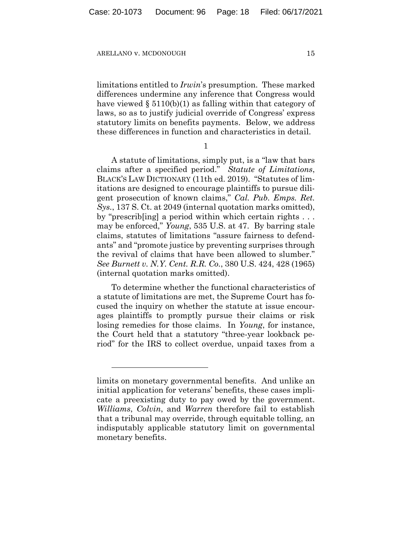limitations entitled to *Irwin*'s presumption. These marked differences undermine any inference that Congress would have viewed  $\S 5110(b)(1)$  as falling within that category of laws, so as to justify judicial override of Congress' express statutory limits on benefits payments. Below, we address these differences in function and characteristics in detail.

1

A statute of limitations, simply put, is a "law that bars claims after a specified period." *Statute of Limitations*, BLACK'S LAW DICTIONARY (11th ed. 2019). "Statutes of limitations are designed to encourage plaintiffs to pursue diligent prosecution of known claims," *Cal. Pub. Emps. Ret. Sys.*, 137 S. Ct. at 2049 (internal quotation marks omitted), by "prescrib[ing] a period within which certain rights . . . may be enforced," *Young*, 535 U.S. at 47. By barring stale claims, statutes of limitations "assure fairness to defendants" and "promote justice by preventing surprises through the revival of claims that have been allowed to slumber." *See Burnett v. N.Y. Cent. R.R. Co.*, 380 U.S. 424, 428 (1965) (internal quotation marks omitted).

To determine whether the functional characteristics of a statute of limitations are met, the Supreme Court has focused the inquiry on whether the statute at issue encourages plaintiffs to promptly pursue their claims or risk losing remedies for those claims. In *Young*, for instance, the Court held that a statutory "three-year lookback period" for the IRS to collect overdue, unpaid taxes from a

limits on monetary governmental benefits. And unlike an initial application for veterans' benefits, these cases implicate a preexisting duty to pay owed by the government. *Williams*, *Colvin*, and *Warren* therefore fail to establish that a tribunal may override, through equitable tolling, an indisputably applicable statutory limit on governmental monetary benefits.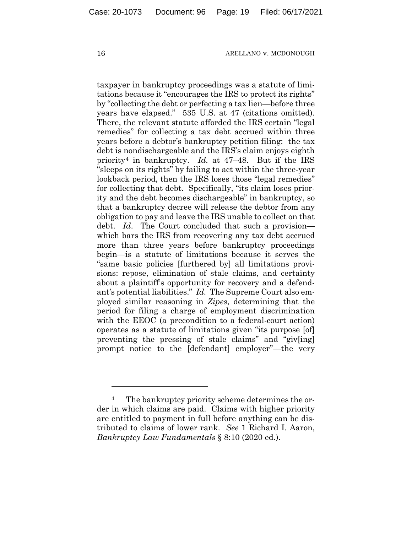taxpayer in bankruptcy proceedings was a statute of limitations because it "encourages the IRS to protect its rights" by "collecting the debt or perfecting a tax lien—before three years have elapsed." 535 U.S. at 47 (citations omitted). There, the relevant statute afforded the IRS certain "legal remedies" for collecting a tax debt accrued within three years before a debtor's bankruptcy petition filing: the tax debt is nondischargeable and the IRS's claim enjoys eighth priority[4](#page-18-0) in bankruptcy. *Id.* at 47–48. But if the IRS "sleeps on its rights" by failing to act within the three-year lookback period, then the IRS loses those "legal remedies" for collecting that debt. Specifically, "its claim loses priority and the debt becomes dischargeable" in bankruptcy, so that a bankruptcy decree will release the debtor from any obligation to pay and leave the IRS unable to collect on that debt. *Id*. The Court concluded that such a provision which bars the IRS from recovering any tax debt accrued more than three years before bankruptcy proceedings begin—is a statute of limitations because it serves the "same basic policies [furthered by] all limitations provisions: repose, elimination of stale claims, and certainty about a plaintiff's opportunity for recovery and a defendant's potential liabilities." *Id.* The Supreme Court also employed similar reasoning in *Zipes*, determining that the period for filing a charge of employment discrimination with the EEOC (a precondition to a federal-court action) operates as a statute of limitations given "its purpose [of] preventing the pressing of stale claims" and "giv[ing] prompt notice to the [defendant] employer"—the very

<span id="page-18-0"></span><sup>&</sup>lt;sup>4</sup> The bankruptcy priority scheme determines the order in which claims are paid. Claims with higher priority are entitled to payment in full before anything can be distributed to claims of lower rank. *See* 1 Richard I. Aaron, *Bankruptcy Law Fundamentals* § 8:10 (2020 ed.).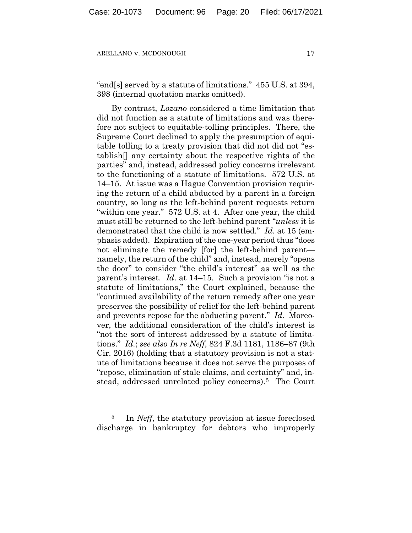"end[s] served by a statute of limitations." 455 U.S. at 394, 398 (internal quotation marks omitted).

By contrast, *Lozano* considered a time limitation that did not function as a statute of limitations and was therefore not subject to equitable-tolling principles. There, the Supreme Court declined to apply the presumption of equitable tolling to a treaty provision that did not did not "establish[] any certainty about the respective rights of the parties" and, instead, addressed policy concerns irrelevant to the functioning of a statute of limitations. 572 U.S. at 14–15. At issue was a Hague Convention provision requiring the return of a child abducted by a parent in a foreign country, so long as the left-behind parent requests return "within one year." 572 U.S. at 4. After one year, the child must still be returned to the left-behind parent "*unless* it is demonstrated that the child is now settled." *Id*. at 15 (emphasis added). Expiration of the one-year period thus "does not eliminate the remedy [for] the left-behind parent namely, the return of the child" and, instead, merely "opens the door" to consider "the child's interest" as well as the parent's interest. *Id*. at 14–15. Such a provision "is not a statute of limitations," the Court explained, because the "continued availability of the return remedy after one year preserves the possibility of relief for the left-behind parent and prevents repose for the abducting parent." *Id.* Moreover, the additional consideration of the child's interest is "not the sort of interest addressed by a statute of limitations." *Id.*; *see also In re Neff*, 824 F.3d 1181, 1186–87 (9th Cir. 2016) (holding that a statutory provision is not a statute of limitations because it does not serve the purposes of "repose, elimination of stale claims, and certainty" and, instead, addressed unrelated policy concerns).[5](#page-19-0) The Court

<span id="page-19-0"></span><sup>&</sup>lt;sup>5</sup> In *Neff*, the statutory provision at issue foreclosed discharge in bankruptcy for debtors who improperly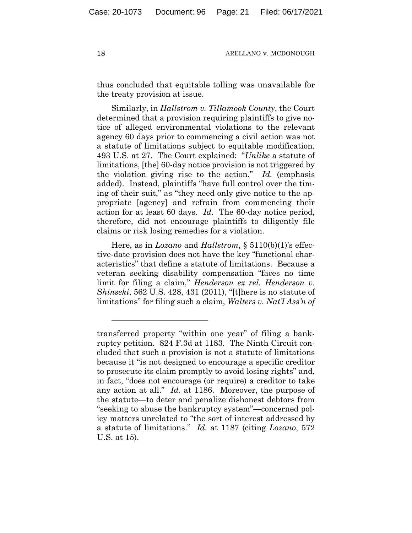thus concluded that equitable tolling was unavailable for the treaty provision at issue.

Similarly, in *Hallstrom v. Tillamook County*, the Court determined that a provision requiring plaintiffs to give notice of alleged environmental violations to the relevant agency 60 days prior to commencing a civil action was not a statute of limitations subject to equitable modification. 493 U.S. at 27. The Court explained: "*Unlike* a statute of limitations, [the] 60-day notice provision is not triggered by the violation giving rise to the action." *Id.* (emphasis added). Instead, plaintiffs "have full control over the timing of their suit," as "they need only give notice to the appropriate [agency] and refrain from commencing their action for at least 60 days. *Id*. The 60-day notice period, therefore, did not encourage plaintiffs to diligently file claims or risk losing remedies for a violation.

Here, as in *Lozano* and *Hallstrom*, § 5110(b)(1)'s effective-date provision does not have the key "functional characteristics" that define a statute of limitations. Because a veteran seeking disability compensation "faces no time limit for filing a claim," *Henderson ex rel. Henderson v. Shinseki*, 562 U.S. 428, 431 (2011), "[t]here is no statute of limitations" for filing such a claim, *Walters v. Nat'l Ass'n of* 

transferred property "within one year" of filing a bankruptcy petition. 824 F.3d at 1183. The Ninth Circuit concluded that such a provision is not a statute of limitations because it "is not designed to encourage a specific creditor to prosecute its claim promptly to avoid losing rights" and, in fact, "does not encourage (or require) a creditor to take any action at all." *Id.* at 1186. Moreover, the purpose of the statute—to deter and penalize dishonest debtors from "seeking to abuse the bankruptcy system"—concerned policy matters unrelated to "the sort of interest addressed by a statute of limitations." *Id.* at 1187 (citing *Lozano*, 572 U.S. at 15).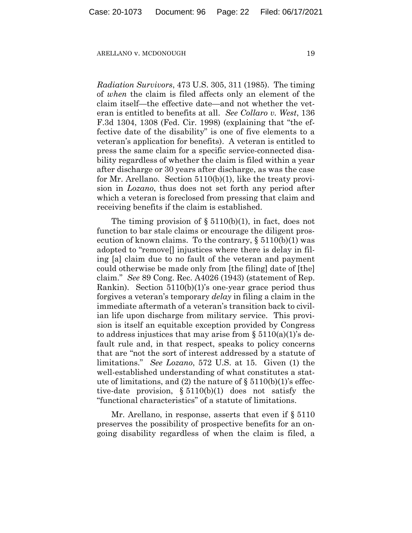*Radiation Survivors*, 473 U.S. 305, 311 (1985). The timing of *when* the claim is filed affects only an element of the claim itself—the effective date—and not whether the veteran is entitled to benefits at all. *See Collaro v. West*, 136 F.3d 1304, 1308 (Fed. Cir. 1998) (explaining that "the effective date of the disability" is one of five elements to a veteran's application for benefits). A veteran is entitled to press the same claim for a specific service-connected disability regardless of whether the claim is filed within a year after discharge or 30 years after discharge, as was the case for Mr. Arellano. Section 5110(b)(1), like the treaty provision in *Lozano*, thus does not set forth any period after which a veteran is foreclosed from pressing that claim and receiving benefits if the claim is established.

The timing provision of  $\S 5110(b)(1)$ , in fact, does not function to bar stale claims or encourage the diligent prosecution of known claims. To the contrary,  $\S 5110(b)(1)$  was adopted to "remove[] injustices where there is delay in filing [a] claim due to no fault of the veteran and payment could otherwise be made only from [the filing] date of [the] claim." *See* 89 Cong. Rec. A4026 (1943) (statement of Rep. Rankin). Section 5110(b)(1)'s one-year grace period thus forgives a veteran's temporary *delay* in filing a claim in the immediate aftermath of a veteran's transition back to civilian life upon discharge from military service. This provision is itself an equitable exception provided by Congress to address injustices that may arise from  $\S 5110(a)(1)$ 's default rule and, in that respect, speaks to policy concerns that are "not the sort of interest addressed by a statute of limitations." *See Lozano*, 572 U.S. at 15. Given (1) the well-established understanding of what constitutes a statute of limitations, and (2) the nature of  $\S$  5110(b)(1)'s effective-date provision, § 5110(b)(1) does not satisfy the "functional characteristics" of a statute of limitations.

Mr. Arellano, in response, asserts that even if § 5110 preserves the possibility of prospective benefits for an ongoing disability regardless of when the claim is filed, a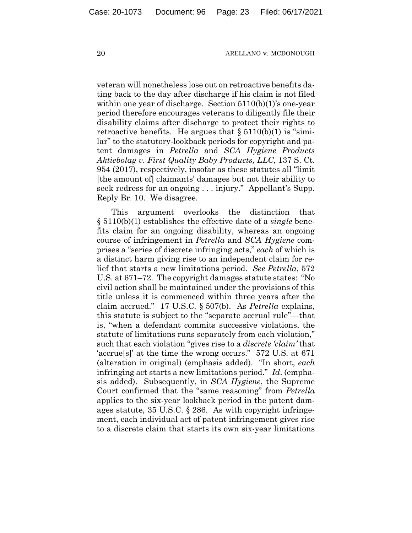veteran will nonetheless lose out on retroactive benefits dating back to the day after discharge if his claim is not filed within one year of discharge. Section 5110(b)(1)'s one-year period therefore encourages veterans to diligently file their disability claims after discharge to protect their rights to retroactive benefits. He argues that  $\S 5110(b)(1)$  is "similar" to the statutory-lookback periods for copyright and patent damages in *Petrella* and *SCA Hygiene Products Aktiebolag v. First Quality Baby Products, LLC*, 137 S. Ct. 954 (2017), respectively, insofar as these statutes all "limit [the amount of] claimants' damages but not their ability to seek redress for an ongoing . . . injury." Appellant's Supp. Reply Br. 10. We disagree.

This argument overlooks the distinction that § 5110(b)(1) establishes the effective date of a *single* benefits claim for an ongoing disability, whereas an ongoing course of infringement in *Petrella* and *SCA Hygiene* comprises a "series of discrete infringing acts," *each* of which is a distinct harm giving rise to an independent claim for relief that starts a new limitations period. *See Petrella*, 572 U.S. at 671–72. The copyright damages statute states: "No civil action shall be maintained under the provisions of this title unless it is commenced within three years after the claim accrued." 17 U.S.C. § 507(b). As *Petrella* explains, this statute is subject to the "separate accrual rule"—that is, "when a defendant commits successive violations, the statute of limitations runs separately from each violation," such that each violation "gives rise to a *discrete 'claim'* that 'accrue[s]' at the time the wrong occurs." 572 U.S. at 671 (alteration in original) (emphasis added). "In short, *each*  infringing act starts a new limitations period." *Id*. (emphasis added). Subsequently, in *SCA Hygiene*, the Supreme Court confirmed that the "same reasoning" from *Petrella* applies to the six-year lookback period in the patent damages statute, 35 U.S.C. § 286. As with copyright infringement, each individual act of patent infringement gives rise to a discrete claim that starts its own six-year limitations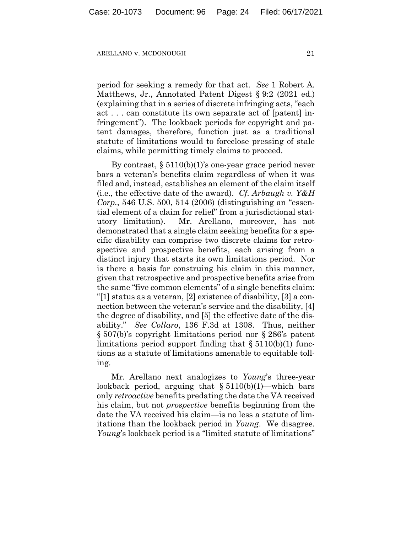period for seeking a remedy for that act. *See* 1 Robert A. Matthews, Jr., Annotated Patent Digest § 9:2 (2021 ed.) (explaining that in a series of discrete infringing acts, "each act . . . can constitute its own separate act of [patent] infringement"). The lookback periods for copyright and patent damages, therefore, function just as a traditional statute of limitations would to foreclose pressing of stale claims, while permitting timely claims to proceed.

By contrast, § 5110(b)(1)'s one-year grace period never bars a veteran's benefits claim regardless of when it was filed and, instead, establishes an element of the claim itself (i.e., the effective date of the award). *Cf. Arbaugh v. Y&H Corp.*, 546 U.S. 500, 514 (2006) (distinguishing an "essential element of a claim for relief" from a jurisdictional statutory limitation). Mr. Arellano, moreover, has not demonstrated that a single claim seeking benefits for a specific disability can comprise two discrete claims for retrospective and prospective benefits, each arising from a distinct injury that starts its own limitations period. Nor is there a basis for construing his claim in this manner, given that retrospective and prospective benefits arise from the same "five common elements" of a single benefits claim: "[1] status as a veteran, [2] existence of disability, [3] a connection between the veteran's service and the disability, [4] the degree of disability, and [5] the effective date of the disability." *See Collaro*, 136 F.3d at 1308. Thus, neither § 507(b)'s copyright limitations period nor § 286's patent limitations period support finding that  $\S 5110(b)(1)$  functions as a statute of limitations amenable to equitable tolling.

Mr. Arellano next analogizes to *Young*'s three-year lookback period, arguing that  $§ 5110(b)(1)$ —which bars only *retroactive* benefits predating the date the VA received his claim, but not *prospective* benefits beginning from the date the VA received his claim—is no less a statute of limitations than the lookback period in *Young*. We disagree. *Young*'s lookback period is a "limited statute of limitations"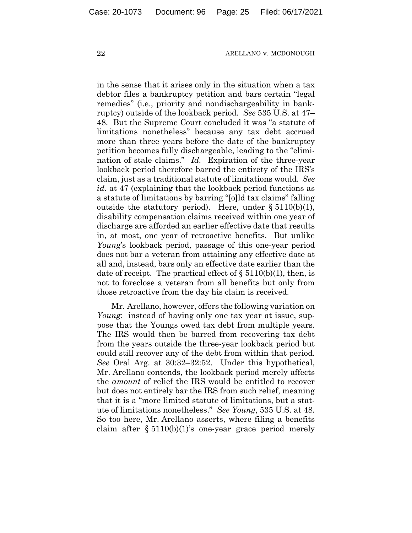in the sense that it arises only in the situation when a tax debtor files a bankruptcy petition and bars certain "legal remedies" (i.e., priority and nondischargeability in bankruptcy) outside of the lookback period. *See* 535 U.S. at 47– 48. But the Supreme Court concluded it was "a statute of limitations nonetheless" because any tax debt accrued more than three years before the date of the bankruptcy petition becomes fully dischargeable, leading to the "elimination of stale claims." *Id.* Expiration of the three-year lookback period therefore barred the entirety of the IRS's claim, just as a traditional statute of limitations would. *See id.* at 47 (explaining that the lookback period functions as a statute of limitations by barring "[o]ld tax claims" falling outside the statutory period). Here, under  $\S 5110(b)(1)$ , disability compensation claims received within one year of discharge are afforded an earlier effective date that results in, at most, one year of retroactive benefits. But unlike *Young*'s lookback period, passage of this one-year period does not bar a veteran from attaining any effective date at all and, instead, bars only an effective date earlier than the date of receipt. The practical effect of  $\S 5110(b)(1)$ , then, is not to foreclose a veteran from all benefits but only from those retroactive from the day his claim is received.

Mr. Arellano, however, offers the following variation on *Young*: instead of having only one tax year at issue, suppose that the Youngs owed tax debt from multiple years. The IRS would then be barred from recovering tax debt from the years outside the three-year lookback period but could still recover any of the debt from within that period. *See* Oral Arg. at 30:32–32:52. Under this hypothetical, Mr. Arellano contends, the lookback period merely affects the *amount* of relief the IRS would be entitled to recover but does not entirely bar the IRS from such relief, meaning that it is a "more limited statute of limitations, but a statute of limitations nonetheless." *See Young*, 535 U.S. at 48. So too here, Mr. Arellano asserts, where filing a benefits claim after  $\S 5110(b)(1)$ 's one-year grace period merely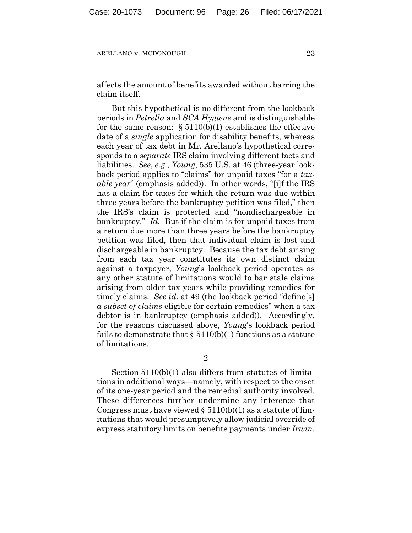affects the amount of benefits awarded without barring the claim itself.

But this hypothetical is no different from the lookback periods in *Petrella* and *SCA Hygiene* and is distinguishable for the same reason:  $\S 5110(b)(1)$  establishes the effective date of a *single* application for disability benefits, whereas each year of tax debt in Mr. Arellano's hypothetical corresponds to a *separate* IRS claim involving different facts and liabilities. *See*, *e.g.*, *Young*, 535 U.S. at 46 (three-year lookback period applies to "claims" for unpaid taxes "for a *taxable year*" (emphasis added)). In other words, "[i]f the IRS has a claim for taxes for which the return was due within three years before the bankruptcy petition was filed," then the IRS's claim is protected and "nondischargeable in bankruptcy." *Id.* But if the claim is for unpaid taxes from a return due more than three years before the bankruptcy petition was filed, then that individual claim is lost and dischargeable in bankruptcy. Because the tax debt arising from each tax year constitutes its own distinct claim against a taxpayer, *Young*'s lookback period operates as any other statute of limitations would to bar stale claims arising from older tax years while providing remedies for timely claims. *See id.* at 49 (the lookback period "define[s] *a subset of claims* eligible for certain remedies" when a tax debtor is in bankruptcy (emphasis added)). Accordingly, for the reasons discussed above, *Young*'s lookback period fails to demonstrate that  $\S 5110(b)(1)$  functions as a statute of limitations.

2

Section 5110(b)(1) also differs from statutes of limitations in additional ways—namely, with respect to the onset of its one-year period and the remedial authority involved. These differences further undermine any inference that Congress must have viewed  $\S 5110(b)(1)$  as a statute of limitations that would presumptively allow judicial override of express statutory limits on benefits payments under *Irwin*.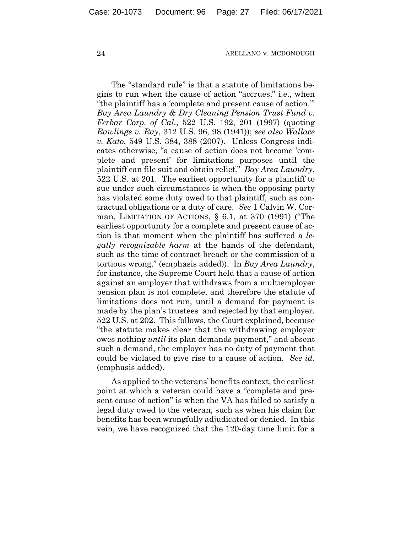The "standard rule" is that a statute of limitations begins to run when the cause of action "accrues," i.e., when "the plaintiff has a 'complete and present cause of action.'" *Bay Area Laundry & Dry Cleaning Pension Trust Fund v. Ferbar Corp. of Cal.*, 522 U.S. 192, 201 (1997) (quoting *Rawlings v. Ray*, 312 U.S. 96, 98 (1941)); *see also Wallace v. Kato*, 549 U.S. 384, 388 (2007). Unless Congress indicates otherwise, "a cause of action does not become 'complete and present' for limitations purposes until the plaintiff can file suit and obtain relief." *Bay Area Laundry*, 522 U.S. at 201. The earliest opportunity for a plaintiff to sue under such circumstances is when the opposing party has violated some duty owed to that plaintiff, such as contractual obligations or a duty of care. *See* 1 Calvin W. Corman, LIMITATION OF ACTIONS, § 6.1, at 370 (1991) ("The earliest opportunity for a complete and present cause of action is that moment when the plaintiff has suffered a *legally recognizable harm* at the hands of the defendant, such as the time of contract breach or the commission of a tortious wrong." (emphasis added)). In *Bay Area Laundry*, for instance, the Supreme Court held that a cause of action against an employer that withdraws from a multiemployer pension plan is not complete, and therefore the statute of limitations does not run, until a demand for payment is made by the plan's trustees and rejected by that employer. 522 U.S. at 202. This follows, the Court explained, because "the statute makes clear that the withdrawing employer owes nothing *until* its plan demands payment," and absent such a demand, the employer has no duty of payment that could be violated to give rise to a cause of action. *See id.* (emphasis added).

As applied to the veterans' benefits context, the earliest point at which a veteran could have a "complete and present cause of action" is when the VA has failed to satisfy a legal duty owed to the veteran, such as when his claim for benefits has been wrongfully adjudicated or denied. In this vein, we have recognized that the 120-day time limit for a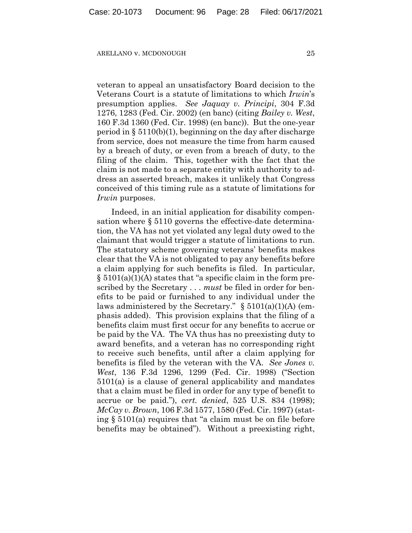veteran to appeal an unsatisfactory Board decision to the Veterans Court is a statute of limitations to which *Irwin*'s presumption applies. *See Jaquay v. Principi*, 304 F.3d 1276, 1283 (Fed. Cir. 2002) (en banc) (citing *Bailey v. West*, 160 F.3d 1360 (Fed. Cir. 1998) (en banc)). But the one-year period in  $\S 5110(b)(1)$ , beginning on the day after discharge from service, does not measure the time from harm caused by a breach of duty, or even from a breach of duty, to the filing of the claim. This, together with the fact that the claim is not made to a separate entity with authority to address an asserted breach, makes it unlikely that Congress conceived of this timing rule as a statute of limitations for *Irwin* purposes.

Indeed, in an initial application for disability compensation where § 5110 governs the effective-date determination, the VA has not yet violated any legal duty owed to the claimant that would trigger a statute of limitations to run. The statutory scheme governing veterans' benefits makes clear that the VA is not obligated to pay any benefits before a claim applying for such benefits is filed. In particular,  $\S$  5101(a)(1)(A) states that "a specific claim in the form prescribed by the Secretary . . . *must* be filed in order for benefits to be paid or furnished to any individual under the laws administered by the Secretary."  $\S$  5101(a)(1)(A) (emphasis added). This provision explains that the filing of a benefits claim must first occur for any benefits to accrue or be paid by the VA. The VA thus has no preexisting duty to award benefits, and a veteran has no corresponding right to receive such benefits, until after a claim applying for benefits is filed by the veteran with the VA. *See Jones v. West*, 136 F.3d 1296, 1299 (Fed. Cir. 1998) ("Section 5101(a) is a clause of general applicability and mandates that a claim must be filed in order for any type of benefit to accrue or be paid."), *cert. denied*, 525 U.S. 834 (1998); *McCay v. Brown*, 106 F.3d 1577, 1580 (Fed. Cir. 1997) (stating § 5101(a) requires that "a claim must be on file before benefits may be obtained"). Without a preexisting right,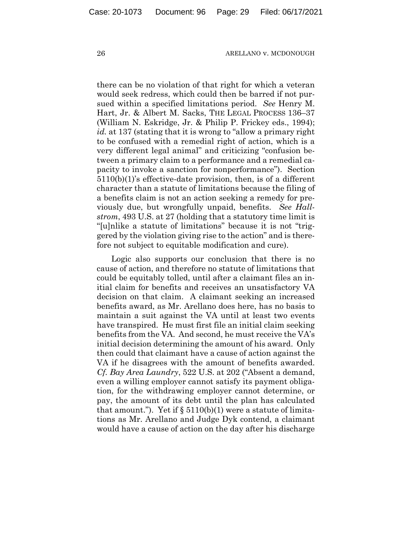there can be no violation of that right for which a veteran would seek redress, which could then be barred if not pursued within a specified limitations period. *See* Henry M. Hart, Jr. & Albert M. Sacks, THE LEGAL PROCESS 136–37 (William N. Eskridge, Jr. & Philip P. Frickey eds., 1994); *id.* at 137 (stating that it is wrong to "allow a primary right to be confused with a remedial right of action, which is a very different legal animal" and criticizing "confusion between a primary claim to a performance and a remedial capacity to invoke a sanction for nonperformance"). Section 5110(b)(1)'s effective-date provision, then, is of a different character than a statute of limitations because the filing of a benefits claim is not an action seeking a remedy for previously due, but wrongfully unpaid, benefits. *See Hallstrom*, 493 U.S. at 27 (holding that a statutory time limit is "[u]nlike a statute of limitations" because it is not "triggered by the violation giving rise to the action" and is therefore not subject to equitable modification and cure).

Logic also supports our conclusion that there is no cause of action, and therefore no statute of limitations that could be equitably tolled, until after a claimant files an initial claim for benefits and receives an unsatisfactory VA decision on that claim. A claimant seeking an increased benefits award, as Mr. Arellano does here, has no basis to maintain a suit against the VA until at least two events have transpired. He must first file an initial claim seeking benefits from the VA. And second, he must receive the VA's initial decision determining the amount of his award. Only then could that claimant have a cause of action against the VA if he disagrees with the amount of benefits awarded. *Cf. Bay Area Laundry*, 522 U.S. at 202 ("Absent a demand, even a willing employer cannot satisfy its payment obligation, for the withdrawing employer cannot determine, or pay, the amount of its debt until the plan has calculated that amount."). Yet if  $\S 5110(b)(1)$  were a statute of limitations as Mr. Arellano and Judge Dyk contend, a claimant would have a cause of action on the day after his discharge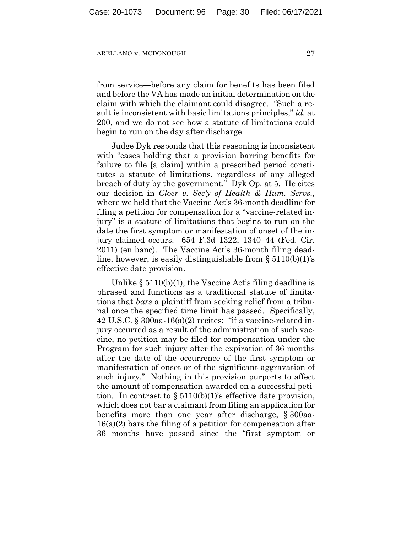from service—before any claim for benefits has been filed and before the VA has made an initial determination on the claim with which the claimant could disagree. "Such a result is inconsistent with basic limitations principles," *id.* at 200, and we do not see how a statute of limitations could begin to run on the day after discharge.

Judge Dyk responds that this reasoning is inconsistent with "cases holding that a provision barring benefits for failure to file [a claim] within a prescribed period constitutes a statute of limitations, regardless of any alleged breach of duty by the government." Dyk Op. at 5. He cites our decision in *Cloer v. Sec'y of Health & Hum. Servs.*, where we held that the Vaccine Act's 36-month deadline for filing a petition for compensation for a "vaccine-related injury" is a statute of limitations that begins to run on the date the first symptom or manifestation of onset of the injury claimed occurs. 654 F.3d 1322, 1340–44 (Fed. Cir. 2011) (en banc). The Vaccine Act's 36-month filing deadline, however, is easily distinguishable from  $\S 5110(b)(1)$ 's effective date provision.

Unlike § 5110(b)(1), the Vaccine Act's filing deadline is phrased and functions as a traditional statute of limitations that *bars* a plaintiff from seeking relief from a tribunal once the specified time limit has passed. Specifically, 42 U.S.C. § 300aa-16(a)(2) recites: "if a vaccine-related injury occurred as a result of the administration of such vaccine, no petition may be filed for compensation under the Program for such injury after the expiration of 36 months after the date of the occurrence of the first symptom or manifestation of onset or of the significant aggravation of such injury." Nothing in this provision purports to affect the amount of compensation awarded on a successful petition. In contrast to  $\S 5110(b)(1)$ 's effective date provision, which does not bar a claimant from filing an application for benefits more than one year after discharge, § 300aa-16(a)(2) bars the filing of a petition for compensation after 36 months have passed since the "first symptom or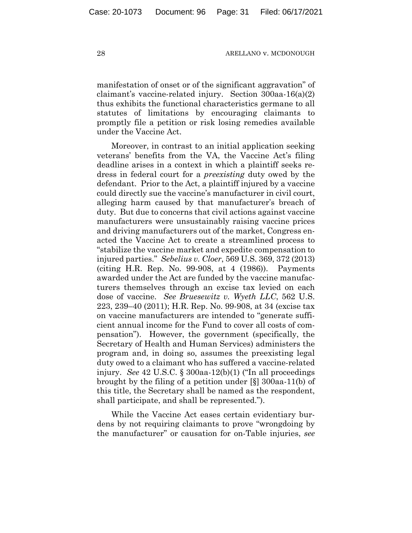manifestation of onset or of the significant aggravation" of claimant's vaccine-related injury. Section 300aa-16(a)(2) thus exhibits the functional characteristics germane to all statutes of limitations by encouraging claimants to promptly file a petition or risk losing remedies available under the Vaccine Act.

Moreover, in contrast to an initial application seeking veterans' benefits from the VA, the Vaccine Act's filing deadline arises in a context in which a plaintiff seeks redress in federal court for a *preexisting* duty owed by the defendant. Prior to the Act, a plaintiff injured by a vaccine could directly sue the vaccine's manufacturer in civil court, alleging harm caused by that manufacturer's breach of duty. But due to concerns that civil actions against vaccine manufacturers were unsustainably raising vaccine prices and driving manufacturers out of the market, Congress enacted the Vaccine Act to create a streamlined process to "stabilize the vaccine market and expedite compensation to injured parties." *Sebelius v. Cloer*, 569 U.S. 369, 372 (2013) (citing H.R. Rep. No. 99-908, at 4 (1986)). Payments awarded under the Act are funded by the vaccine manufacturers themselves through an excise tax levied on each dose of vaccine. *See Bruesewitz v. Wyeth LLC*, 562 U.S. 223, 239–40 (2011); H.R. Rep. No. 99-908, at 34 (excise tax on vaccine manufacturers are intended to "generate sufficient annual income for the Fund to cover all costs of compensation"). However, the government (specifically, the Secretary of Health and Human Services) administers the program and, in doing so, assumes the preexisting legal duty owed to a claimant who has suffered a vaccine-related injury. *See* 42 U.S.C. § 300aa-12(b)(1) ("In all proceedings brought by the filing of a petition under [§] 300aa-11(b) of this title, the Secretary shall be named as the respondent, shall participate, and shall be represented.").

While the Vaccine Act eases certain evidentiary burdens by not requiring claimants to prove "wrongdoing by the manufacturer" or causation for on-Table injuries, *see*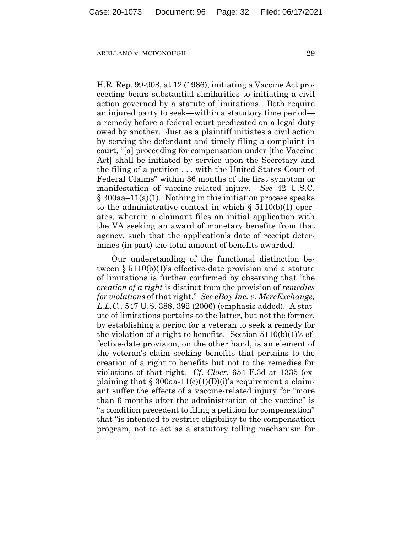H.R. Rep. 99-908, at 12 (1986), initiating a Vaccine Act proceeding bears substantial similarities to initiating a civil action governed by a statute of limitations. Both require an injured party to seek—within a statutory time period a remedy before a federal court predicated on a legal duty owed by another. Just as a plaintiff initiates a civil action by serving the defendant and timely filing a complaint in court, "[a] proceeding for compensation under [the Vaccine Act] shall be initiated by service upon the Secretary and the filing of a petition . . . with the United States Court of Federal Claims" within 36 months of the first symptom or manifestation of vaccine-related injury. *See* 42 U.S.C.  $\S 300$ aa–11(a)(1). Nothing in this initiation process speaks to the administrative context in which  $\S$  5110(b)(1) operates, wherein a claimant files an initial application with the VA seeking an award of monetary benefits from that agency, such that the application's date of receipt determines (in part) the total amount of benefits awarded.

Our understanding of the functional distinction between § 5110(b)(1)'s effective-date provision and a statute of limitations is further confirmed by observing that "the *creation of a right* is distinct from the provision of *remedies for violations* of that right." *See eBay Inc. v. MercExchange, L.L.C.*, 547 U.S. 388, 392 (2006) (emphasis added). A statute of limitations pertains to the latter, but not the former, by establishing a period for a veteran to seek a remedy for the violation of a right to benefits. Section 5110(b)(1)'s effective-date provision, on the other hand, is an element of the veteran's claim seeking benefits that pertains to the creation of a right to benefits but not to the remedies for violations of that right. *Cf. Cloer*, 654 F.3d at 1335 (explaining that  $\S 300$ aa-11(c)(1)(D)(i)'s requirement a claimant suffer the effects of a vaccine-related injury for "more than 6 months after the administration of the vaccine" is "a condition precedent to filing a petition for compensation" that "is intended to restrict eligibility to the compensation program, not to act as a statutory tolling mechanism for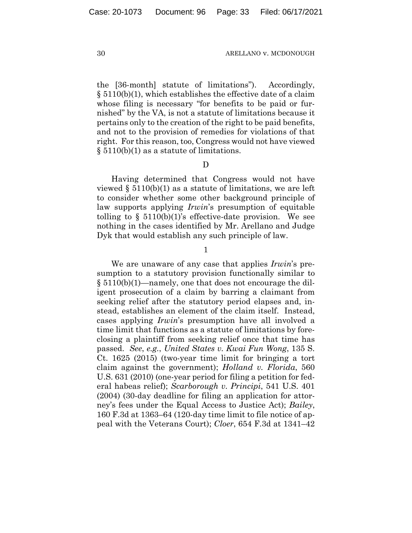the [36-month] statute of limitations"). Accordingly, § 5110(b)(1), which establishes the effective date of a claim whose filing is necessary "for benefits to be paid or furnished" by the VA, is not a statute of limitations because it pertains only to the creation of the right to be paid benefits, and not to the provision of remedies for violations of that right. For this reason, too, Congress would not have viewed § 5110(b)(1) as a statute of limitations.

### D

Having determined that Congress would not have viewed  $\S$  5110(b)(1) as a statute of limitations, we are left to consider whether some other background principle of law supports applying *Irwin*'s presumption of equitable tolling to  $\S$  5110(b)(1)'s effective-date provision. We see nothing in the cases identified by Mr. Arellano and Judge Dyk that would establish any such principle of law.

1

We are unaware of any case that applies *Irwin*'s presumption to a statutory provision functionally similar to § 5110(b)(1)—namely, one that does not encourage the diligent prosecution of a claim by barring a claimant from seeking relief after the statutory period elapses and, instead, establishes an element of the claim itself. Instead, cases applying *Irwin*'s presumption have all involved a time limit that functions as a statute of limitations by foreclosing a plaintiff from seeking relief once that time has passed. *See*, *e.g.*, *United States v. Kwai Fun Wong*, 135 S. Ct. 1625 (2015) (two-year time limit for bringing a tort claim against the government); *Holland v. Florida*, 560 U.S. 631 (2010) (one-year period for filing a petition for federal habeas relief); *Scarborough v. Principi*, 541 U.S. 401 (2004) (30-day deadline for filing an application for attorney's fees under the Equal Access to Justice Act); *Bailey*, 160 F.3d at 1363–64 (120-day time limit to file notice of appeal with the Veterans Court); *Cloer*, 654 F.3d at 1341–42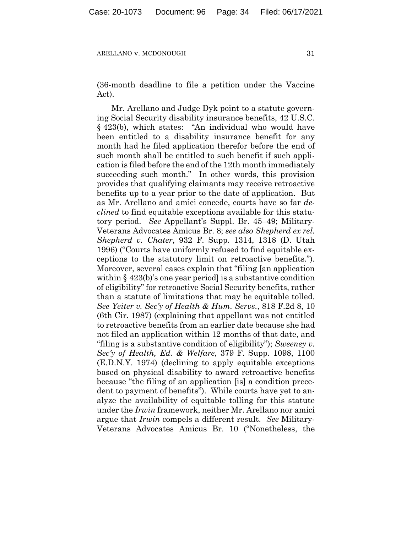(36-month deadline to file a petition under the Vaccine Act).

Mr. Arellano and Judge Dyk point to a statute governing Social Security disability insurance benefits, 42 U.S.C. § 423(b), which states: "An individual who would have been entitled to a disability insurance benefit for any month had he filed application therefor before the end of such month shall be entitled to such benefit if such application is filed before the end of the 12th month immediately succeeding such month." In other words, this provision provides that qualifying claimants may receive retroactive benefits up to a year prior to the date of application. But as Mr. Arellano and amici concede, courts have so far *declined* to find equitable exceptions available for this statutory period. *See* Appellant's Suppl. Br. 45–49; Military-Veterans Advocates Amicus Br. 8; *see also Shepherd ex rel. Shepherd v. Chater*, 932 F. Supp. 1314, 1318 (D. Utah 1996) ("Courts have uniformly refused to find equitable exceptions to the statutory limit on retroactive benefits."). Moreover, several cases explain that "filing [an application within § 423(b)'s one year period is a substantive condition of eligibility" for retroactive Social Security benefits, rather than a statute of limitations that may be equitable tolled. *See Yeiter v. Sec'y of Health & Hum. Servs.*, 818 F.2d 8, 10 (6th Cir. 1987) (explaining that appellant was not entitled to retroactive benefits from an earlier date because she had not filed an application within 12 months of that date, and "filing is a substantive condition of eligibility"); *Sweeney v. Sec'y of Health, Ed. & Welfare*, 379 F. Supp. 1098, 1100 (E.D.N.Y. 1974) (declining to apply equitable exceptions based on physical disability to award retroactive benefits because "the filing of an application [is] a condition precedent to payment of benefits"). While courts have yet to analyze the availability of equitable tolling for this statute under the *Irwin* framework, neither Mr. Arellano nor amici argue that *Irwin* compels a different result. *See* Military-Veterans Advocates Amicus Br. 10 ("Nonetheless, the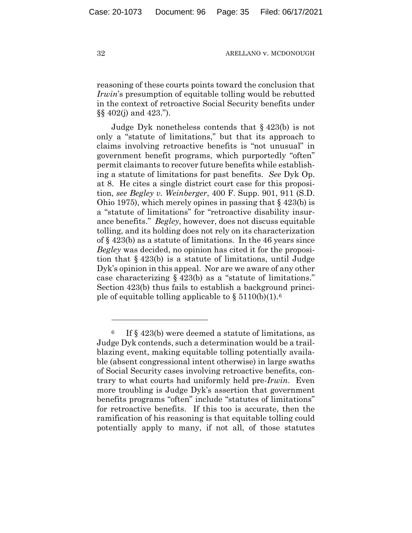reasoning of these courts points toward the conclusion that *Irwin*'s presumption of equitable tolling would be rebutted in the context of retroactive Social Security benefits under §§ 402(j) and 423.").

Judge Dyk nonetheless contends that § 423(b) is not only a "statute of limitations," but that its approach to claims involving retroactive benefits is "not unusual" in government benefit programs, which purportedly "often" permit claimants to recover future benefits while establishing a statute of limitations for past benefits. *See* Dyk Op. at 8. He cites a single district court case for this proposition, *see Begley v. Weinberger*, 400 F. Supp. 901, 911 (S.D. Ohio 1975), which merely opines in passing that § 423(b) is a "statute of limitations" for "retroactive disability insurance benefits." *Begley*, however, does not discuss equitable tolling, and its holding does not rely on its characterization of § 423(b) as a statute of limitations. In the 46 years since *Begley* was decided, no opinion has cited it for the proposition that § 423(b) is a statute of limitations, until Judge Dyk's opinion in this appeal. Nor are we aware of any other case characterizing § 423(b) as a "statute of limitations." Section 423(b) thus fails to establish a background principle of equitable tolling applicable to  $\S 5110(b)(1).$ <sup>[6](#page-34-0)</sup>

<span id="page-34-0"></span> $6$  If § 423(b) were deemed a statute of limitations, as Judge Dyk contends, such a determination would be a trailblazing event, making equitable tolling potentially available (absent congressional intent otherwise) in large swaths of Social Security cases involving retroactive benefits, contrary to what courts had uniformly held pre-*Irwin*. Even more troubling is Judge Dyk's assertion that government benefits programs "often" include "statutes of limitations" for retroactive benefits. If this too is accurate, then the ramification of his reasoning is that equitable tolling could potentially apply to many, if not all, of those statutes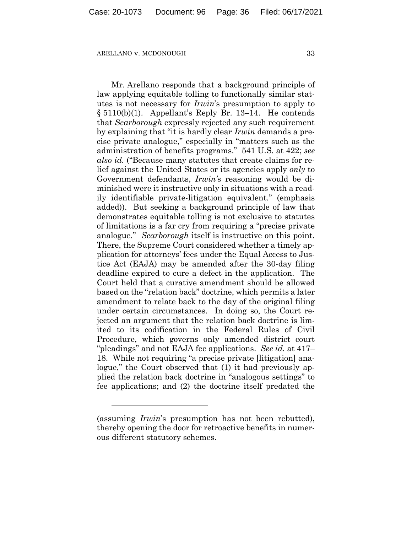Mr. Arellano responds that a background principle of law applying equitable tolling to functionally similar statutes is not necessary for *Irwin*'s presumption to apply to § 5110(b)(1). Appellant's Reply Br. 13–14. He contends that *Scarborough* expressly rejected any such requirement by explaining that "it is hardly clear *Irwin* demands a precise private analogue," especially in "matters such as the administration of benefits programs." 541 U.S. at 422; *see also id.* ("Because many statutes that create claims for relief against the United States or its agencies apply *only* to Government defendants, *Irwin'*s reasoning would be diminished were it instructive only in situations with a readily identifiable private-litigation equivalent." (emphasis added)). But seeking a background principle of law that demonstrates equitable tolling is not exclusive to statutes of limitations is a far cry from requiring a "precise private analogue." *Scarborough* itself is instructive on this point. There, the Supreme Court considered whether a timely application for attorneys' fees under the Equal Access to Justice Act (EAJA) may be amended after the 30-day filing deadline expired to cure a defect in the application. The Court held that a curative amendment should be allowed based on the "relation back" doctrine, which permits a later amendment to relate back to the day of the original filing under certain circumstances. In doing so, the Court rejected an argument that the relation back doctrine is limited to its codification in the Federal Rules of Civil Procedure, which governs only amended district court "pleadings" and not EAJA fee applications. *See id.* at 417– 18. While not requiring "a precise private [litigation] analogue," the Court observed that (1) it had previously applied the relation back doctrine in "analogous settings" to fee applications; and (2) the doctrine itself predated the

<sup>(</sup>assuming *Irwin*'s presumption has not been rebutted), thereby opening the door for retroactive benefits in numerous different statutory schemes.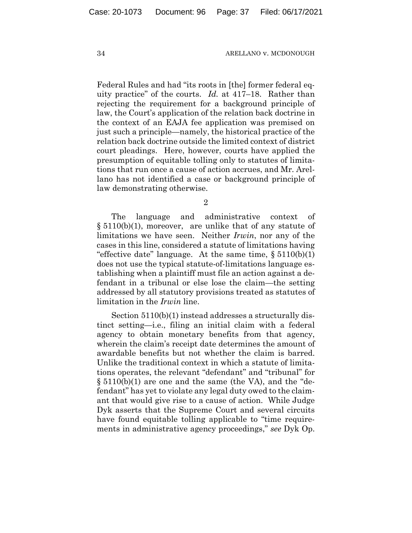Federal Rules and had "its roots in [the] former federal equity practice" of the courts. *Id.* at 417–18. Rather than rejecting the requirement for a background principle of law, the Court's application of the relation back doctrine in the context of an EAJA fee application was premised on just such a principle—namely, the historical practice of the relation back doctrine outside the limited context of district court pleadings. Here, however, courts have applied the presumption of equitable tolling only to statutes of limitations that run once a cause of action accrues, and Mr. Arellano has not identified a case or background principle of law demonstrating otherwise.

The language and administrative context of § 5110(b)(1), moreover, are unlike that of any statute of limitations we have seen. Neither *Irwin*, nor any of the cases in this line, considered a statute of limitations having "effective date" language. At the same time,  $\S 5110(b)(1)$ does not use the typical statute-of-limitations language establishing when a plaintiff must file an action against a defendant in a tribunal or else lose the claim—the setting addressed by all statutory provisions treated as statutes of limitation in the *Irwin* line.

Section 5110(b)(1) instead addresses a structurally distinct setting—i.e., filing an initial claim with a federal agency to obtain monetary benefits from that agency, wherein the claim's receipt date determines the amount of awardable benefits but not whether the claim is barred. Unlike the traditional context in which a statute of limitations operates, the relevant "defendant" and "tribunal" for § 5110(b)(1) are one and the same (the VA), and the "defendant" has yet to violate any legal duty owed to the claimant that would give rise to a cause of action. While Judge Dyk asserts that the Supreme Court and several circuits have found equitable tolling applicable to "time requirements in administrative agency proceedings," *see* Dyk Op.

<sup>2</sup>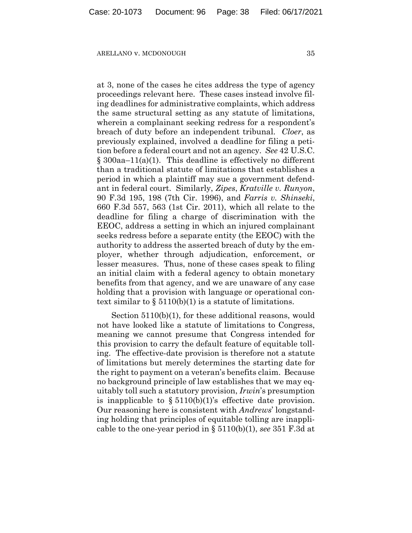at 3, none of the cases he cites address the type of agency proceedings relevant here. These cases instead involve filing deadlines for administrative complaints, which address the same structural setting as any statute of limitations, wherein a complainant seeking redress for a respondent's breach of duty before an independent tribunal. *Cloer*, as previously explained, involved a deadline for filing a petition before a federal court and not an agency. *See* 42 U.S.C.  $\S 300$ aa–11(a)(1). This deadline is effectively no different than a traditional statute of limitations that establishes a period in which a plaintiff may sue a government defendant in federal court. Similarly, *Zipes*, *Kratville v. Runyon*, 90 F.3d 195, 198 (7th Cir. 1996), and *Farris v. Shinseki*, 660 F.3d 557, 563 (1st Cir. 2011), which all relate to the deadline for filing a charge of discrimination with the EEOC, address a setting in which an injured complainant seeks redress before a separate entity (the EEOC) with the authority to address the asserted breach of duty by the employer, whether through adjudication, enforcement, or lesser measures. Thus, none of these cases speak to filing an initial claim with a federal agency to obtain monetary benefits from that agency, and we are unaware of any case holding that a provision with language or operational context similar to  $\S 5110(b)(1)$  is a statute of limitations.

Section 5110(b)(1), for these additional reasons, would not have looked like a statute of limitations to Congress, meaning we cannot presume that Congress intended for this provision to carry the default feature of equitable tolling. The effective-date provision is therefore not a statute of limitations but merely determines the starting date for the right to payment on a veteran's benefits claim. Because no background principle of law establishes that we may equitably toll such a statutory provision, *Irwin*'s presumption is inapplicable to  $\S 5110(b)(1)$ 's effective date provision. Our reasoning here is consistent with *Andrews*' longstanding holding that principles of equitable tolling are inapplicable to the one-year period in § 5110(b)(1), *see* 351 F.3d at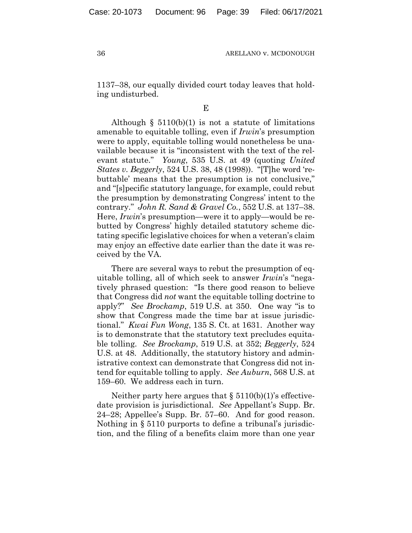1137–38, our equally divided court today leaves that holding undisturbed.

E

Although  $\S$  5110(b)(1) is not a statute of limitations amenable to equitable tolling, even if *Irwin*'s presumption were to apply, equitable tolling would nonetheless be unavailable because it is "inconsistent with the text of the relevant statute." *Young*, 535 U.S. at 49 (quoting *United States v. Beggerly*, 524 U.S. 38, 48 (1998)). "[T]he word 'rebuttable' means that the presumption is not conclusive," and "[s]pecific statutory language, for example, could rebut the presumption by demonstrating Congress' intent to the contrary." *John R. Sand & Gravel Co.*, 552 U.S. at 137–38. Here, *Irwin*'s presumption—were it to apply—would be rebutted by Congress' highly detailed statutory scheme dictating specific legislative choices for when a veteran's claim may enjoy an effective date earlier than the date it was received by the VA.

There are several ways to rebut the presumption of equitable tolling, all of which seek to answer *Irwin*'s "negatively phrased question: "Is there good reason to believe that Congress did *not* want the equitable tolling doctrine to apply?" *See Brockamp*, 519 U.S. at 350. One way "is to show that Congress made the time bar at issue jurisdictional." *Kwai Fun Wong*, 135 S. Ct. at 1631. Another way is to demonstrate that the statutory text precludes equitable tolling. *See Brockamp*, 519 U.S. at 352; *Beggerly*, 524 U.S. at 48. Additionally, the statutory history and administrative context can demonstrate that Congress did not intend for equitable tolling to apply. *See Auburn*, 568 U.S. at 159–60. We address each in turn.

Neither party here argues that  $\S 5110(b)(1)$ 's effectivedate provision is jurisdictional. *See* Appellant's Supp. Br. 24–28; Appellee's Supp. Br. 57–60. And for good reason. Nothing in § 5110 purports to define a tribunal's jurisdiction, and the filing of a benefits claim more than one year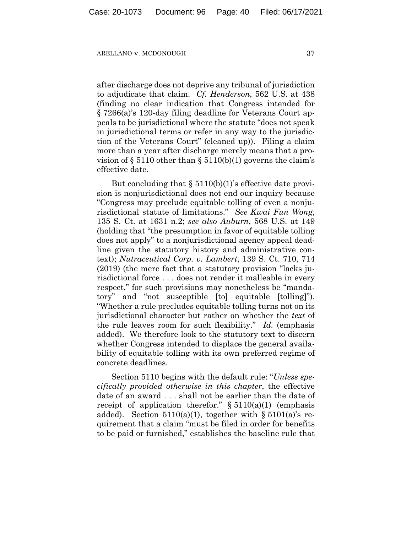after discharge does not deprive any tribunal of jurisdiction to adjudicate that claim. *Cf. Henderson*, 562 U.S. at 438 (finding no clear indication that Congress intended for § 7266(a)'s 120-day filing deadline for Veterans Court appeals to be jurisdictional where the statute "does not speak in jurisdictional terms or refer in any way to the jurisdiction of the Veterans Court" (cleaned up)). Filing a claim more than a year after discharge merely means that a provision of  $\S 5110$  other than  $\S 5110(b)(1)$  governs the claim's effective date.

But concluding that  $\S 5110(b)(1)$ 's effective date provision is nonjurisdictional does not end our inquiry because "Congress may preclude equitable tolling of even a nonjurisdictional statute of limitations." *See Kwai Fun Wong*, 135 S. Ct. at 1631 n.2; *see also Auburn*, 568 U.S. at 149 (holding that "the presumption in favor of equitable tolling does not apply" to a nonjurisdictional agency appeal deadline given the statutory history and administrative context); *Nutraceutical Corp. v. Lambert*, 139 S. Ct. 710, 714 (2019) (the mere fact that a statutory provision "lacks jurisdictional force . . . does not render it malleable in every respect," for such provisions may nonetheless be "mandatory" and "not susceptible [to] equitable [tolling]"). "Whether a rule precludes equitable tolling turns not on its jurisdictional character but rather on whether the *text* of the rule leaves room for such flexibility." *Id.* (emphasis added). We therefore look to the statutory text to discern whether Congress intended to displace the general availability of equitable tolling with its own preferred regime of concrete deadlines.

Section 5110 begins with the default rule: "*Unless specifically provided otherwise in this chapter*, the effective date of an award . . . shall not be earlier than the date of receipt of application therefor."  $§ 5110(a)(1)$  (emphasis added). Section  $5110(a)(1)$ , together with §  $5101(a)$ 's requirement that a claim "must be filed in order for benefits to be paid or furnished," establishes the baseline rule that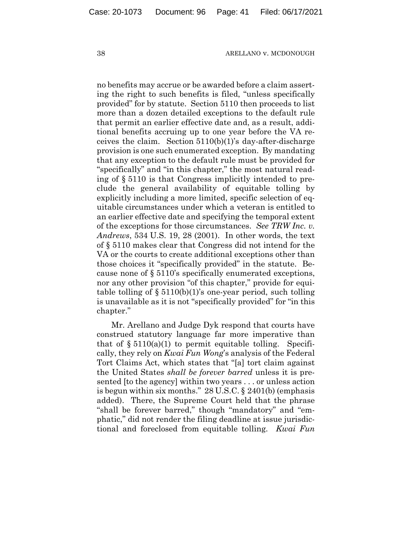no benefits may accrue or be awarded before a claim asserting the right to such benefits is filed, "unless specifically provided" for by statute. Section 5110 then proceeds to list more than a dozen detailed exceptions to the default rule that permit an earlier effective date and, as a result, additional benefits accruing up to one year before the VA receives the claim. Section 5110(b)(1)'s day-after-discharge provision is one such enumerated exception. By mandating that any exception to the default rule must be provided for "specifically" and "in this chapter," the most natural reading of § 5110 is that Congress implicitly intended to preclude the general availability of equitable tolling by explicitly including a more limited, specific selection of equitable circumstances under which a veteran is entitled to an earlier effective date and specifying the temporal extent of the exceptions for those circumstances. *See TRW Inc. v. Andrews*, 534 U.S. 19, 28 (2001). In other words, the text of § 5110 makes clear that Congress did not intend for the VA or the courts to create additional exceptions other than those choices it "specifically provided" in the statute. Because none of § 5110's specifically enumerated exceptions, nor any other provision "of this chapter," provide for equitable tolling of  $\S 5110(b)(1)$ 's one-year period, such tolling is unavailable as it is not "specifically provided" for "in this chapter."

Mr. Arellano and Judge Dyk respond that courts have construed statutory language far more imperative than that of  $\S 5110(a)(1)$  to permit equitable tolling. Specifically, they rely on *Kwai Fun Wong*'s analysis of the Federal Tort Claims Act, which states that "[a] tort claim against the United States *shall be forever barred* unless it is presented [to the agency] within two years . . . or unless action is begun within six months." 28 U.S.C. § 2401(b) (emphasis added). There, the Supreme Court held that the phrase "shall be forever barred," though "mandatory" and "emphatic," did not render the filing deadline at issue jurisdictional and foreclosed from equitable tolling. *Kwai Fun*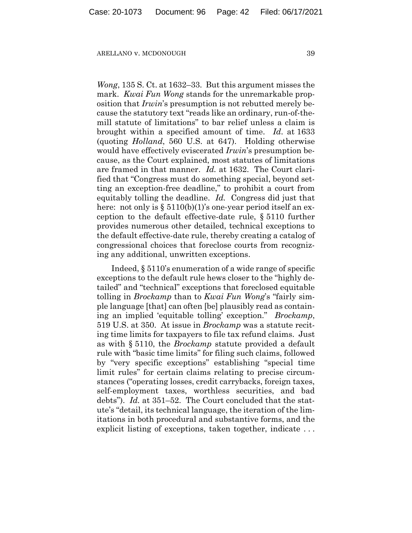*Wong*, 135 S. Ct. at 1632–33. But this argument misses the mark. *Kwai Fun Wong* stands for the unremarkable proposition that *Irwin*'s presumption is not rebutted merely because the statutory text "reads like an ordinary, run-of-themill statute of limitations" to bar relief unless a claim is brought within a specified amount of time. *Id*. at 1633 (quoting *Holland*, 560 U.S. at 647). Holding otherwise would have effectively eviscerated *Irwin*'s presumption because, as the Court explained, most statutes of limitations are framed in that manner. *Id.* at 1632. The Court clarified that "Congress must do something special, beyond setting an exception-free deadline," to prohibit a court from equitably tolling the deadline. *Id.* Congress did just that here: not only is  $\S 5110(b)(1)$ 's one-year period itself an exception to the default effective-date rule, § 5110 further provides numerous other detailed, technical exceptions to the default effective-date rule, thereby creating a catalog of congressional choices that foreclose courts from recognizing any additional, unwritten exceptions.

Indeed, § 5110's enumeration of a wide range of specific exceptions to the default rule hews closer to the "highly detailed" and "technical" exceptions that foreclosed equitable tolling in *Brockamp* than to *Kwai Fun Wong*'s "fairly simple language [that] can often [be] plausibly read as containing an implied 'equitable tolling' exception." *Brockamp*, 519 U.S. at 350. At issue in *Brockamp* was a statute reciting time limits for taxpayers to file tax refund claims. Just as with § 5110, the *Brockamp* statute provided a default rule with "basic time limits" for filing such claims, followed by "very specific exceptions" establishing "special time limit rules" for certain claims relating to precise circumstances ("operating losses, credit carrybacks, foreign taxes, self-employment taxes, worthless securities, and bad debts"). *Id.* at 351–52. The Court concluded that the statute's "detail, its technical language, the iteration of the limitations in both procedural and substantive forms, and the explicit listing of exceptions, taken together, indicate . . .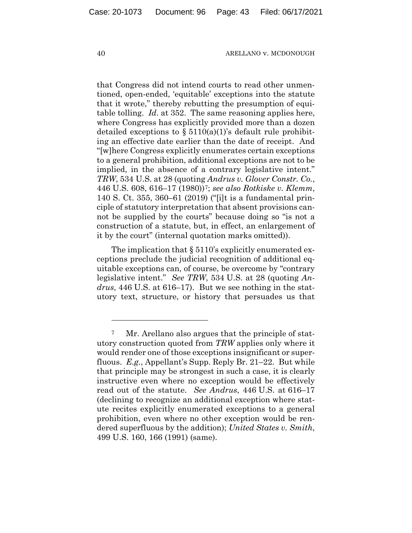that Congress did not intend courts to read other unmentioned, open-ended, 'equitable' exceptions into the statute that it wrote," thereby rebutting the presumption of equitable tolling. *Id*. at 352. The same reasoning applies here, where Congress has explicitly provided more than a dozen detailed exceptions to  $\S 5110(a)(1)$ 's default rule prohibiting an effective date earlier than the date of receipt. And "[w]here Congress explicitly enumerates certain exceptions to a general prohibition, additional exceptions are not to be implied, in the absence of a contrary legislative intent." *TRW*, 534 U.S. at 28 (quoting *Andrus v. Glover Constr. Co.*, 446 U.S. 608, 616–17 (1980))[7](#page-42-0); *see also Rotkiske v. Klemm*, 140 S. Ct. 355, 360–61 (2019) ("[i]t is a fundamental principle of statutory interpretation that absent provisions cannot be supplied by the courts" because doing so "is not a construction of a statute, but, in effect, an enlargement of it by the court" (internal quotation marks omitted)).

The implication that  $\S 5110$ 's explicitly enumerated exceptions preclude the judicial recognition of additional equitable exceptions can, of course, be overcome by "contrary legislative intent." *See TRW*, 534 U.S. at 28 (quoting *Andrus*, 446 U.S. at 616–17). But we see nothing in the statutory text, structure, or history that persuades us that

<span id="page-42-0"></span><sup>7</sup> Mr. Arellano also argues that the principle of statutory construction quoted from *TRW* applies only where it would render one of those exceptions insignificant or superfluous. *E.g.*, Appellant's Supp. Reply Br. 21–22. But while that principle may be strongest in such a case, it is clearly instructive even where no exception would be effectively read out of the statute. *See Andrus*, 446 U.S. at 616–17 (declining to recognize an additional exception where statute recites explicitly enumerated exceptions to a general prohibition, even where no other exception would be rendered superfluous by the addition); *United States v. Smith*, 499 U.S. 160, 166 (1991) (same).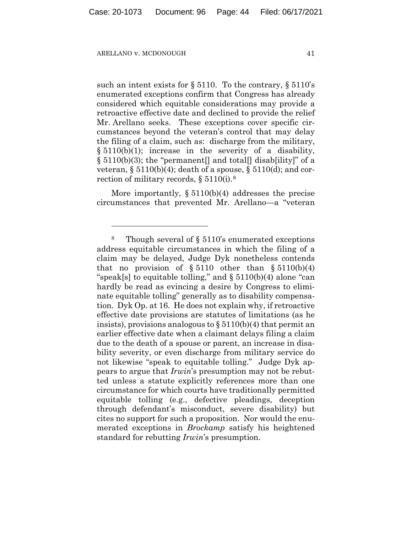such an intent exists for § 5110. To the contrary, § 5110's enumerated exceptions confirm that Congress has already considered which equitable considerations may provide a retroactive effective date and declined to provide the relief Mr. Arellano seeks. These exceptions cover specific circumstances beyond the veteran's control that may delay the filing of a claim, such as: discharge from the military,  $\S 5110(b)(1)$ ; increase in the severity of a disability,  $\S 5110(b)(3)$ ; the "permanent] and total] disab[ility]" of a veteran,  $\S 5110(b)(4)$ ; death of a spouse,  $\S 5110(d)$ ; and correction of military records, § 5110(i).[8](#page-43-0) 

More importantly, § 5110(b)(4) addresses the precise circumstances that prevented Mr. Arellano—a "veteran

<span id="page-43-0"></span><sup>8</sup> Though several of § 5110's enumerated exceptions address equitable circumstances in which the filing of a claim may be delayed, Judge Dyk nonetheless contends that no provision of  $\S 5110$  other than  $\S 5110(b)(4)$ "speak[s] to equitable tolling," and  $\S 5110(b)(4)$  alone "can hardly be read as evincing a desire by Congress to eliminate equitable tolling" generally as to disability compensation. Dyk Op. at 16. He does not explain why, if retroactive effective date provisions are statutes of limitations (as he insists), provisions analogous to  $\S 5110(b)(4)$  that permit an earlier effective date when a claimant delays filing a claim due to the death of a spouse or parent, an increase in disability severity, or even discharge from military service do not likewise "speak to equitable tolling." Judge Dyk appears to argue that *Irwin*'s presumption may not be rebutted unless a statute explicitly references more than one circumstance for which courts have traditionally permitted equitable tolling (e.g., defective pleadings, deception through defendant's misconduct, severe disability) but cites no support for such a proposition. Nor would the enumerated exceptions in *Brockamp* satisfy his heightened standard for rebutting *Irwin*'s presumption.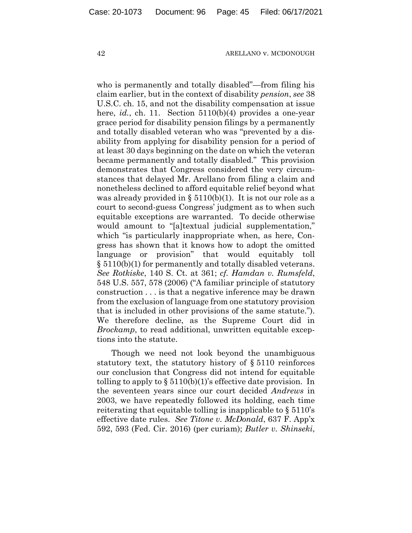who is permanently and totally disabled"—from filing his claim earlier, but in the context of disability *pension*, *see* 38 U.S.C. ch. 15, and not the disability compensation at issue here, *id.*, ch. 11. Section 5110(b)(4) provides a one-year grace period for disability pension filings by a permanently and totally disabled veteran who was "prevented by a disability from applying for disability pension for a period of at least 30 days beginning on the date on which the veteran became permanently and totally disabled." This provision demonstrates that Congress considered the very circumstances that delayed Mr. Arellano from filing a claim and nonetheless declined to afford equitable relief beyond what was already provided in §  $5110(b)(1)$ . It is not our role as a court to second-guess Congress' judgment as to when such equitable exceptions are warranted. To decide otherwise would amount to "[a]textual judicial supplementation," which "is particularly inappropriate when, as here, Congress has shown that it knows how to adopt the omitted language or provision" that would equitably toll § 5110(b)(1) for permanently and totally disabled veterans. *See Rotkiske*, 140 S. Ct. at 361; *cf. Hamdan v. Rumsfeld*, 548 U.S. 557, 578 (2006) ("A familiar principle of statutory construction . . . is that a negative inference may be drawn from the exclusion of language from one statutory provision that is included in other provisions of the same statute."). We therefore decline, as the Supreme Court did in *Brockamp*, to read additional, unwritten equitable exceptions into the statute.

Though we need not look beyond the unambiguous statutory text, the statutory history of § 5110 reinforces our conclusion that Congress did not intend for equitable tolling to apply to  $\S 5110(b)(1)$ 's effective date provision. In the seventeen years since our court decided *Andrews* in 2003, we have repeatedly followed its holding, each time reiterating that equitable tolling is inapplicable to § 5110's effective date rules. *See Titone v. McDonald*, 637 F. App'x 592, 593 (Fed. Cir. 2016) (per curiam); *Butler v. Shinseki*,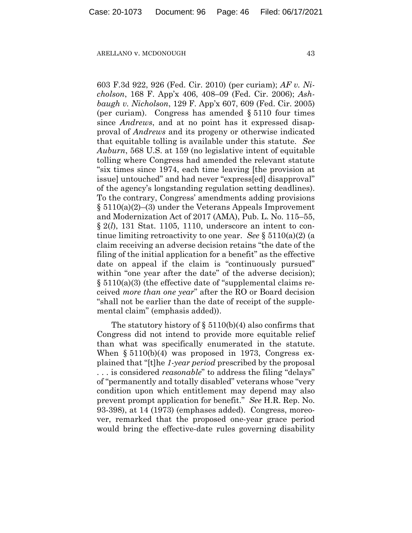603 F.3d 922, 926 (Fed. Cir. 2010) (per curiam); *AF v. Nicholson*, 168 F. App'x 406, 408–09 (Fed. Cir. 2006); *Ashbaugh v. Nicholson*, 129 F. App'x 607, 609 (Fed. Cir. 2005) (per curiam). Congress has amended § 5110 four times since *Andrews*, and at no point has it expressed disapproval of *Andrews* and its progeny or otherwise indicated that equitable tolling is available under this statute. *See Auburn*, 568 U.S. at 159 (no legislative intent of equitable tolling where Congress had amended the relevant statute "six times since 1974, each time leaving [the provision at issue] untouched" and had never "express[ed] disapproval" of the agency's longstanding regulation setting deadlines). To the contrary, Congress' amendments adding provisions § 5110(a)(2)–(3) under the Veterans Appeals Improvement and Modernization Act of 2017 (AMA), Pub. L. No. 115–55, § 2(*l*), 131 Stat. 1105, 1110, underscore an intent to continue limiting retroactivity to one year. *See* § 5110(a)(2) (a claim receiving an adverse decision retains "the date of the filing of the initial application for a benefit" as the effective date on appeal if the claim is "continuously pursued" within "one year after the date" of the adverse decision); § 5110(a)(3) (the effective date of "supplemental claims received *more than one year*" after the RO or Board decision "shall not be earlier than the date of receipt of the supplemental claim" (emphasis added)).

The statutory history of  $\S 5110(b)(4)$  also confirms that Congress did not intend to provide more equitable relief than what was specifically enumerated in the statute. When § 5110(b)(4) was proposed in 1973, Congress explained that "[t]he *1-year period* prescribed by the proposal . . . is considered *reasonable*" to address the filing "delays" of "permanently and totally disabled" veterans whose "very condition upon which entitlement may depend may also prevent prompt application for benefit." *See* H.R. Rep. No. 93-398), at 14 (1973) (emphases added). Congress, moreover, remarked that the proposed one-year grace period would bring the effective-date rules governing disability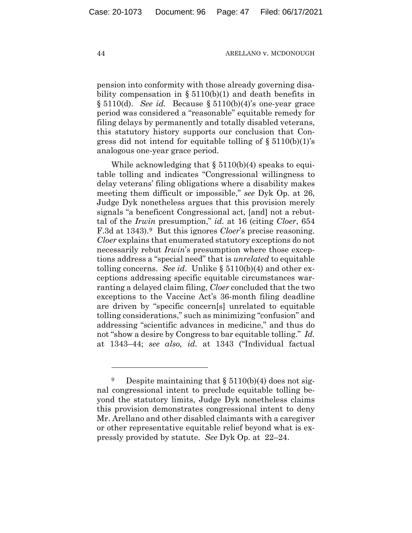pension into conformity with those already governing disability compensation in  $\S 5110(b)(1)$  and death benefits in § 5110(d). *See id.* Because § 5110(b)(4)'s one-year grace period was considered a "reasonable" equitable remedy for filing delays by permanently and totally disabled veterans, this statutory history supports our conclusion that Congress did not intend for equitable tolling of  $\S 5110(b)(1)$ 's analogous one-year grace period.

While acknowledging that  $\S 5110(b)(4)$  speaks to equitable tolling and indicates "Congressional willingness to delay veterans' filing obligations where a disability makes meeting them difficult or impossible," *see* Dyk Op. at 26, Judge Dyk nonetheless argues that this provision merely signals "a beneficent Congressional act, [and] not a rebuttal of the *Irwin* presumption," *id.* at 16 (citing *Cloer*, 654 F.3d at 1343).[9](#page-46-0) But this ignores *Cloer*'s precise reasoning. *Cloer* explains that enumerated statutory exceptions do not necessarily rebut *Irwin*'s presumption where those exceptions address a "special need" that is *unrelated* to equitable tolling concerns. *See id*. Unlike § 5110(b)(4) and other exceptions addressing specific equitable circumstances warranting a delayed claim filing, *Cloer* concluded that the two exceptions to the Vaccine Act's 36-month filing deadline are driven by "specific concern[s] unrelated to equitable tolling considerations," such as minimizing "confusion" and addressing "scientific advances in medicine," and thus do not "show a desire by Congress to bar equitable tolling." *Id.* at 1343–44; *see also, id.* at 1343 ("Individual factual

<span id="page-46-0"></span><sup>&</sup>lt;sup>9</sup> Despite maintaining that  $\S 5110(b)(4)$  does not signal congressional intent to preclude equitable tolling beyond the statutory limits, Judge Dyk nonetheless claims this provision demonstrates congressional intent to deny Mr. Arellano and other disabled claimants with a caregiver or other representative equitable relief beyond what is expressly provided by statute. *See* Dyk Op. at 22–24.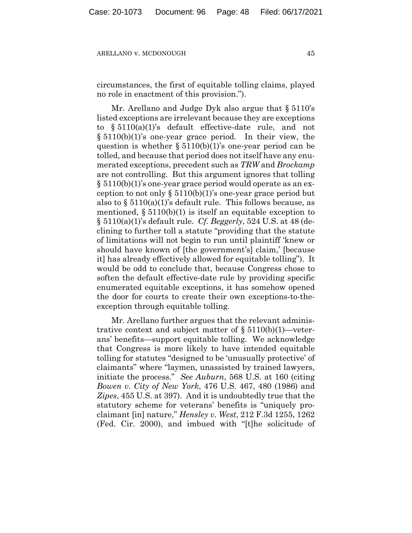circumstances, the first of equitable tolling claims, played no role in enactment of this provision.").

Mr. Arellano and Judge Dyk also argue that § 5110's listed exceptions are irrelevant because they are exceptions to § 5110(a)(1)'s default effective-date rule, and not § 5110(b)(1)'s one-year grace period. In their view, the question is whether  $\S 5110(b)(1)$ 's one-year period can be tolled, and because that period does not itself have any enumerated exceptions, precedent such as *TRW* and *Brockamp*  are not controlling. But this argument ignores that tolling § 5110(b)(1)'s one-year grace period would operate as an exception to not only  $\S 5110(b)(1)$ 's one-year grace period but also to  $\S 5110(a)(1)$ 's default rule. This follows because, as mentioned,  $\S 5110(b)(1)$  is itself an equitable exception to § 5110(a)(1)'s default rule. *Cf. Beggerly*, 524 U.S. at 48 (declining to further toll a statute "providing that the statute of limitations will not begin to run until plaintiff 'knew or should have known of [the government's] claim,' [because it] has already effectively allowed for equitable tolling"). It would be odd to conclude that, because Congress chose to soften the default effective-date rule by providing specific enumerated equitable exceptions, it has somehow opened the door for courts to create their own exceptions-to-theexception through equitable tolling.

Mr. Arellano further argues that the relevant administrative context and subject matter of  $\S 5110(b)(1)$ —veterans' benefits—support equitable tolling. We acknowledge that Congress is more likely to have intended equitable tolling for statutes "designed to be 'unusually protective' of claimants" where "laymen, unassisted by trained lawyers, initiate the process." *See Auburn*, 568 U.S. at 160 (citing *Bowen v. City of New York*, 476 U.S. 467, 480 (1986) and *Zipes*, 455 U.S. at 397). And it is undoubtedly true that the statutory scheme for veterans' benefits is "uniquely proclaimant [in] nature," *Hensley v. West*, 212 F.3d 1255, 1262 (Fed. Cir. 2000), and imbued with "[t]he solicitude of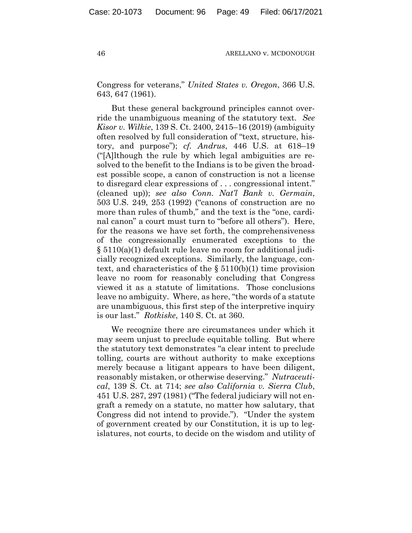Congress for veterans," *United States v. Oregon*, 366 U.S. 643, 647 (1961).

But these general background principles cannot override the unambiguous meaning of the statutory text. *See Kisor v. Wilkie*, 139 S. Ct. 2400, 2415–16 (2019) (ambiguity often resolved by full consideration of "text, structure, history, and purpose"); *cf. Andrus*, 446 U.S. at 618–19 ("[A]lthough the rule by which legal ambiguities are resolved to the benefit to the Indians is to be given the broadest possible scope, a canon of construction is not a license to disregard clear expressions of . . . congressional intent." (cleaned up)); *see also Conn. Nat'l Bank v. Germain*, 503 U.S. 249, 253 (1992) ("canons of construction are no more than rules of thumb," and the text is the "one, cardinal canon" a court must turn to "before all others"). Here, for the reasons we have set forth, the comprehensiveness of the congressionally enumerated exceptions to the § 5110(a)(1) default rule leave no room for additional judicially recognized exceptions. Similarly, the language, context, and characteristics of the  $\S 5110(b)(1)$  time provision leave no room for reasonably concluding that Congress viewed it as a statute of limitations. Those conclusions leave no ambiguity. Where, as here, "the words of a statute are unambiguous, this first step of the interpretive inquiry is our last." *Rotkiske*, 140 S. Ct. at 360.

We recognize there are circumstances under which it may seem unjust to preclude equitable tolling. But where the statutory text demonstrates "a clear intent to preclude tolling, courts are without authority to make exceptions merely because a litigant appears to have been diligent, reasonably mistaken, or otherwise deserving." *Nutraceutical*, 139 S. Ct. at 714; *see also California v. Sierra Club*, 451 U.S. 287, 297 (1981) ("The federal judiciary will not engraft a remedy on a statute, no matter how salutary, that Congress did not intend to provide."). "Under the system of government created by our Constitution, it is up to legislatures, not courts, to decide on the wisdom and utility of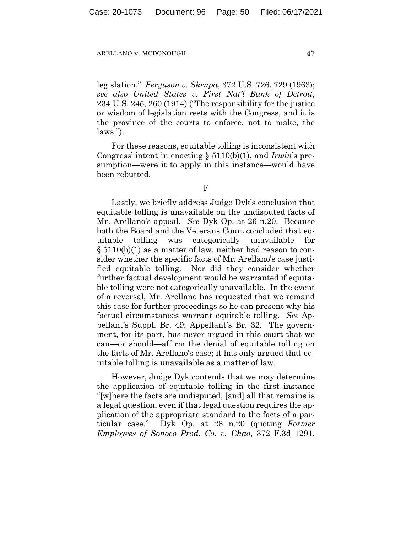legislation." *Ferguson v. Skrupa*, 372 U.S. 726, 729 (1963); *see also United States v. First Nat'l Bank of Detroit*, 234 U.S. 245, 260 (1914) ("The responsibility for the justice or wisdom of legislation rests with the Congress, and it is the province of the courts to enforce, not to make, the laws.").

For these reasons, equitable tolling is inconsistent with Congress' intent in enacting § 5110(b)(1), and *Irwin*'s presumption—were it to apply in this instance—would have been rebutted.

F

Lastly, we briefly address Judge Dyk's conclusion that equitable tolling is unavailable on the undisputed facts of Mr. Arellano's appeal. *See* Dyk Op. at 26 n.20. Because both the Board and the Veterans Court concluded that equitable tolling was categorically unavailable for § 5110(b)(1) as a matter of law, neither had reason to consider whether the specific facts of Mr. Arellano's case justified equitable tolling. Nor did they consider whether further factual development would be warranted if equitable tolling were not categorically unavailable. In the event of a reversal, Mr. Arellano has requested that we remand this case for further proceedings so he can present why his factual circumstances warrant equitable tolling. *See* Appellant's Suppl. Br. 49; Appellant's Br. 32. The government, for its part, has never argued in this court that we can—or should—affirm the denial of equitable tolling on the facts of Mr. Arellano's case; it has only argued that equitable tolling is unavailable as a matter of law.

However, Judge Dyk contends that we may determine the application of equitable tolling in the first instance "[w]here the facts are undisputed, [and] all that remains is a legal question, even if that legal question requires the application of the appropriate standard to the facts of a particular case." Dyk Op. at 26 n.20 (quoting *Former Employees of Sonoco Prod. Co. v. Chao*, 372 F.3d 1291,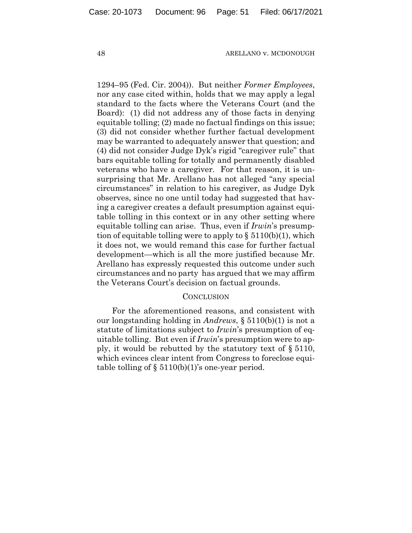1294–95 (Fed. Cir. 2004)). But neither *Former Employees*, nor any case cited within, holds that we may apply a legal standard to the facts where the Veterans Court (and the Board): (1) did not address any of those facts in denying equitable tolling; (2) made no factual findings on this issue; (3) did not consider whether further factual development may be warranted to adequately answer that question; and (4) did not consider Judge Dyk's rigid "caregiver rule" that bars equitable tolling for totally and permanently disabled veterans who have a caregiver. For that reason, it is unsurprising that Mr. Arellano has not alleged "any special circumstances" in relation to his caregiver, as Judge Dyk observes, since no one until today had suggested that having a caregiver creates a default presumption against equitable tolling in this context or in any other setting where equitable tolling can arise. Thus, even if *Irwin*'s presumption of equitable tolling were to apply to  $\S 5110(b)(1)$ , which it does not, we would remand this case for further factual development—which is all the more justified because Mr. Arellano has expressly requested this outcome under such circumstances and no party has argued that we may affirm the Veterans Court's decision on factual grounds.

## **CONCLUSION**

For the aforementioned reasons, and consistent with our longstanding holding in *Andrews*, § 5110(b)(1) is not a statute of limitations subject to *Irwin*'s presumption of equitable tolling. But even if *Irwin*'s presumption were to apply, it would be rebutted by the statutory text of § 5110, which evinces clear intent from Congress to foreclose equitable tolling of  $\S 5110(b)(1)$ 's one-year period.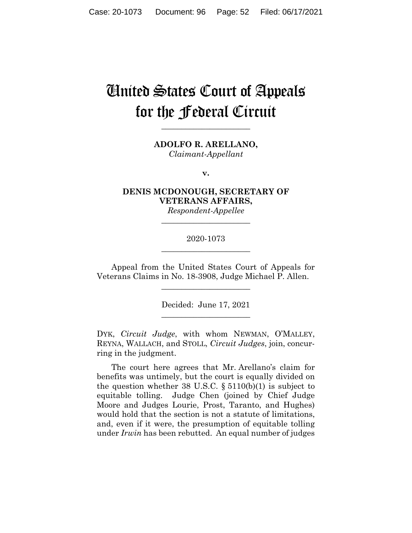# United States Court of Appeals for the Federal Circuit

**\_\_\_\_\_\_\_\_\_\_\_\_\_\_\_\_\_\_\_\_\_\_**

**ADOLFO R. ARELLANO,** *Claimant-Appellant*

**v.**

**DENIS MCDONOUGH, SECRETARY OF VETERANS AFFAIRS,**

*Respondent-Appellee* **\_\_\_\_\_\_\_\_\_\_\_\_\_\_\_\_\_\_\_\_\_\_**

# 2020-1073 **\_\_\_\_\_\_\_\_\_\_\_\_\_\_\_\_\_\_\_\_\_\_**

Appeal from the United States Court of Appeals for Veterans Claims in No. 18-3908, Judge Michael P. Allen.

 $\overline{\phantom{a}}$  , where  $\overline{\phantom{a}}$  , where  $\overline{\phantom{a}}$  , where  $\overline{\phantom{a}}$ 

Decided: June 17, 2021  $\overline{\phantom{a}}$  , where  $\overline{\phantom{a}}$  , where  $\overline{\phantom{a}}$  , where  $\overline{\phantom{a}}$ 

DYK, *Circuit Judge*, with whom NEWMAN, O'MALLEY, REYNA, WALLACH, and STOLL, *Circuit Judges*, join, concurring in the judgment.

The court here agrees that Mr. Arellano's claim for benefits was untimely, but the court is equally divided on the question whether 38 U.S.C.  $\S 5110(b)(1)$  is subject to equitable tolling. Judge Chen (joined by Chief Judge Moore and Judges Lourie, Prost, Taranto, and Hughes) would hold that the section is not a statute of limitations, and, even if it were, the presumption of equitable tolling under *Irwin* has been rebutted. An equal number of judges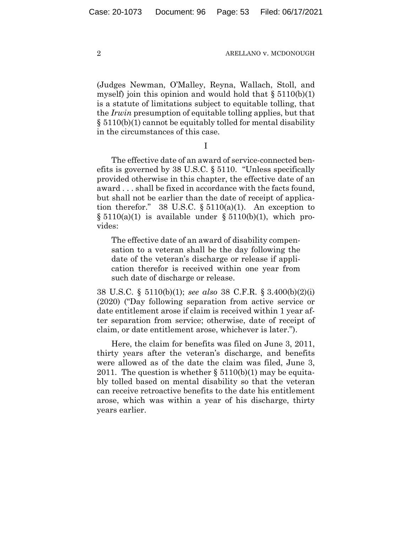(Judges Newman, O'Malley, Reyna, Wallach, Stoll, and myself) join this opinion and would hold that  $\S 5110(b)(1)$ is a statute of limitations subject to equitable tolling, that the *Irwin* presumption of equitable tolling applies, but that § 5110(b)(1) cannot be equitably tolled for mental disability in the circumstances of this case.

I

The effective date of an award of service-connected benefits is governed by 38 U.S.C. § 5110. "Unless specifically provided otherwise in this chapter, the effective date of an award . . . shall be fixed in accordance with the facts found, but shall not be earlier than the date of receipt of application therefor." 38 U.S.C.  $\S 5110(a)(1)$ . An exception to  $\S 5110(a)(1)$  is available under  $\S 5110(b)(1)$ , which provides:

The effective date of an award of disability compensation to a veteran shall be the day following the date of the veteran's discharge or release if application therefor is received within one year from such date of discharge or release.

38 U.S.C. § 5110(b)(1); *see also* 38 C.F.R. § 3.400(b)(2)(i) (2020) ("Day following separation from active service or date entitlement arose if claim is received within 1 year after separation from service; otherwise, date of receipt of claim, or date entitlement arose, whichever is later.").

Here, the claim for benefits was filed on June 3, 2011, thirty years after the veteran's discharge, and benefits were allowed as of the date the claim was filed, June 3, 2011. The question is whether  $\S 5110(b)(1)$  may be equitably tolled based on mental disability so that the veteran can receive retroactive benefits to the date his entitlement arose, which was within a year of his discharge, thirty years earlier.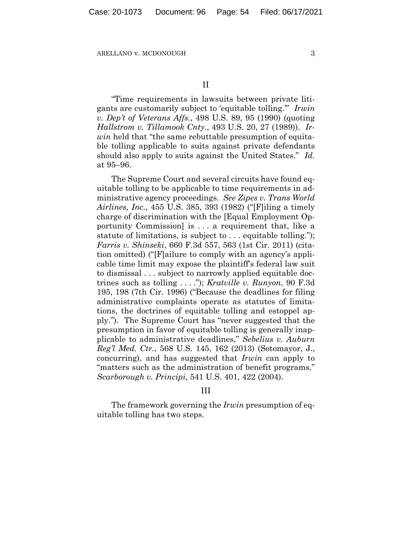"Time requirements in lawsuits between private litigants are customarily subject to 'equitable tolling.'" *Irwin v. Dep't of Veterans Affs.*, 498 U.S. 89, 95 (1990) (quoting *Hallstrom v. Tillamook Cnty.*, 493 U.S. 20, 27 (1989)). *Irwin* held that "the same rebuttable presumption of equitable tolling applicable to suits against private defendants should also apply to suits against the United States." *Id.* at 95–96.

The Supreme Court and several circuits have found equitable tolling to be applicable to time requirements in administrative agency proceedings. *See Zipes v. Trans World Airlines, Inc.*, 455 U.S. 385, 393 (1982) ("[F]iling a timely charge of discrimination with the [Equal Employment Opportunity Commission] is . . . a requirement that, like a statute of limitations, is subject to . . . equitable tolling."); *Farris v. Shinseki*, 660 F.3d 557, 563 (1st Cir. 2011) (citation omitted) ("[F]ailure to comply with an agency's applicable time limit may expose the plaintiff's federal law suit to dismissal . . . subject to narrowly applied equitable doctrines such as tolling . . . ."); *Kratville v. Runyon*, 90 F.3d 195, 198 (7th Cir. 1996) ("Because the deadlines for filing administrative complaints operate as statutes of limitations, the doctrines of equitable tolling and estoppel apply."). The Supreme Court has "never suggested that the presumption in favor of equitable tolling is generally inapplicable to administrative deadlines," *Sebelius v. Auburn Reg'l Med. Ctr.*, 568 U.S. 145, 162 (2013) (Sotomayor, J., concurring), and has suggested that *Irwin* can apply to "matters such as the administration of benefit programs," *Scarborough v. Principi*, 541 U.S. 401, 422 (2004).

## III

The framework governing the *Irwin* presumption of equitable tolling has two steps.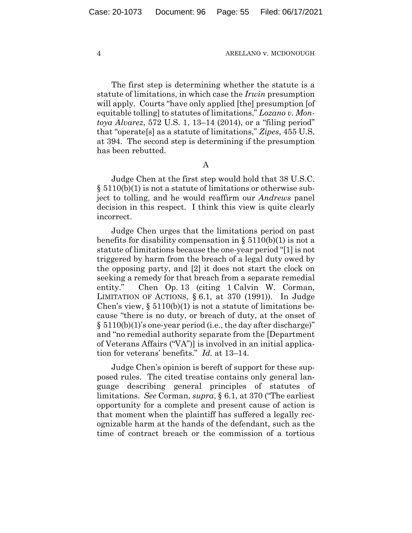The first step is determining whether the statute is a statute of limitations, in which case the *Irwin* presumption will apply. Courts "have only applied [the] presumption [of equitable tolling] to statutes of limitations," *Lozano v. Montoya Alvarez*, 572 U.S. 1, 13–14 (2014), or a "filing period" that "operate[s] as a statute of limitations," *Zipes*, 455 U.S. at 394. The second step is determining if the presumption has been rebutted.

A

Judge Chen at the first step would hold that 38 U.S.C. § 5110(b)(1) is not a statute of limitations or otherwise subject to tolling, and he would reaffirm our *Andrews* panel decision in this respect. I think this view is quite clearly incorrect.

Judge Chen urges that the limitations period on past benefits for disability compensation in  $\S 5110(b)(1)$  is not a statute of limitations because the one-year period "[1] is not triggered by harm from the breach of a legal duty owed by the opposing party, and [2] it does not start the clock on seeking a remedy for that breach from a separate remedial entity." Chen Op. 13 (citing 1 Calvin W. Corman, LIMITATION OF ACTIONS,  $\S 6.1$ , at 370 (1991)). In Judge Chen's view,  $\S 5110(b)(1)$  is not a statute of limitations because "there is no duty, or breach of duty, at the onset of § 5110(b)(1)'s one-year period (i.e., the day after discharge)" and "no remedial authority separate from the [Department of Veterans Affairs ("VA")] is involved in an initial application for veterans' benefits." *Id.* at 13–14.

Judge Chen's opinion is bereft of support for these supposed rules. The cited treatise contains only general language describing general principles of statutes of limitations. *See* Corman, *supra*, § 6.1, at 370 ("The earliest opportunity for a complete and present cause of action is that moment when the plaintiff has suffered a legally recognizable harm at the hands of the defendant, such as the time of contract breach or the commission of a tortious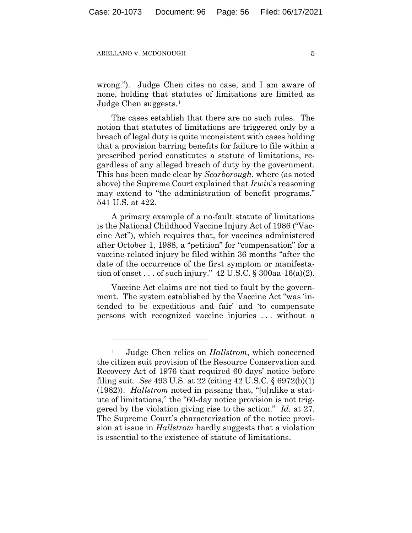wrong."). Judge Chen cites no case, and I am aware of none, holding that statutes of limitations are limited as Judge Chen suggests.[1](#page-55-0)

The cases establish that there are no such rules. The notion that statutes of limitations are triggered only by a breach of legal duty is quite inconsistent with cases holding that a provision barring benefits for failure to file within a prescribed period constitutes a statute of limitations, regardless of any alleged breach of duty by the government. This has been made clear by *Scarborough*, where (as noted above) the Supreme Court explained that *Irwin*'s reasoning may extend to "the administration of benefit programs." 541 U.S. at 422.

A primary example of a no-fault statute of limitations is the National Childhood Vaccine Injury Act of 1986 ("Vaccine Act"), which requires that, for vaccines administered after October 1, 1988, a "petition" for "compensation" for a vaccine-related injury be filed within 36 months "after the date of the occurrence of the first symptom or manifestation of onset . . . of such injury."  $42$  U.S.C. § 300aa-16(a)(2).

Vaccine Act claims are not tied to fault by the government. The system established by the Vaccine Act "was 'intended to be expeditious and fair' and 'to compensate persons with recognized vaccine injuries . . . without a

<span id="page-55-0"></span><sup>1</sup> Judge Chen relies on *Hallstrom*, which concerned the citizen suit provision of the Resource Conservation and Recovery Act of 1976 that required 60 days' notice before filing suit. *See* 493 U.S. at 22 (citing 42 U.S.C. § 6972(b)(1) (1982)). *Hallstrom* noted in passing that, "[u]nlike a statute of limitations," the "60-day notice provision is not triggered by the violation giving rise to the action." *Id.* at 27. The Supreme Court's characterization of the notice provision at issue in *Hallstrom* hardly suggests that a violation is essential to the existence of statute of limitations.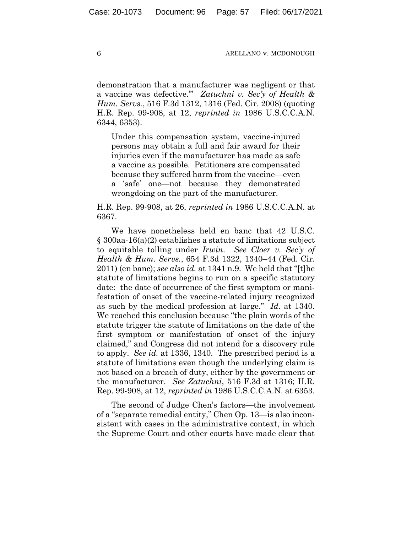demonstration that a manufacturer was negligent or that a vaccine was defective.'" *Zatuchni v. Sec'y of Health & Hum. Servs.*, 516 F.3d 1312, 1316 (Fed. Cir. 2008) (quoting H.R. Rep. 99-908, at 12, *reprinted in* 1986 U.S.C.C.A.N. 6344, 6353).

Under this compensation system, vaccine-injured persons may obtain a full and fair award for their injuries even if the manufacturer has made as safe a vaccine as possible. Petitioners are compensated because they suffered harm from the vaccine—even a 'safe' one—not because they demonstrated wrongdoing on the part of the manufacturer.

H.R. Rep. 99-908, at 26, *reprinted in* 1986 U.S.C.C.A.N. at 6367.

We have nonetheless held en banc that 42 U.S.C. § 300aa-16(a)(2) establishes a statute of limitations subject to equitable tolling under *Irwin*. *See Cloer v. Sec'y of Health & Hum. Servs.*, 654 F.3d 1322, 1340–44 (Fed. Cir. 2011) (en banc); *see also id.* at 1341 n.9. We held that "[t]he statute of limitations begins to run on a specific statutory date: the date of occurrence of the first symptom or manifestation of onset of the vaccine-related injury recognized as such by the medical profession at large." *Id.* at 1340. We reached this conclusion because "the plain words of the statute trigger the statute of limitations on the date of the first symptom or manifestation of onset of the injury claimed," and Congress did not intend for a discovery rule to apply. *See id.* at 1336, 1340. The prescribed period is a statute of limitations even though the underlying claim is not based on a breach of duty, either by the government or the manufacturer. *See Zatuchni*, 516 F.3d at 1316; H.R. Rep. 99-908, at 12, *reprinted in* 1986 U.S.C.C.A.N. at 6353.

The second of Judge Chen's factors—the involvement of a "separate remedial entity," Chen Op. 13—is also inconsistent with cases in the administrative context, in which the Supreme Court and other courts have made clear that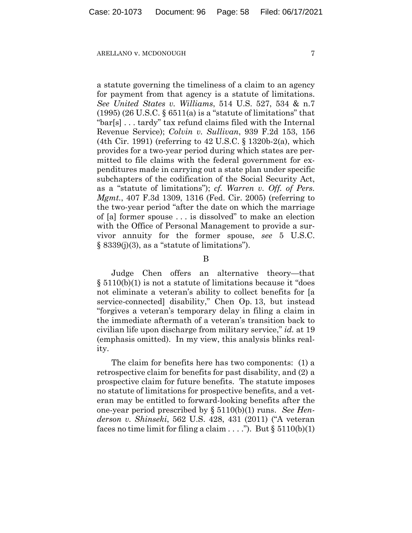a statute governing the timeliness of a claim to an agency for payment from that agency is a statute of limitations. *See United States v. Williams*, 514 U.S. 527, 534 & n.7  $(1995)$  (26 U.S.C. § 6511(a) is a "statute of limitations" that "bar[s] . . . tardy" tax refund claims filed with the Internal Revenue Service); *Colvin v. Sullivan*, 939 F.2d 153, 156 (4th Cir. 1991) (referring to 42 U.S.C. § 1320b-2(a), which provides for a two-year period during which states are permitted to file claims with the federal government for expenditures made in carrying out a state plan under specific subchapters of the codification of the Social Security Act, as a "statute of limitations"); *cf. Warren v. Off. of Pers. Mgmt.*, 407 F.3d 1309, 1316 (Fed. Cir. 2005) (referring to the two-year period "after the date on which the marriage of [a] former spouse . . . is dissolved" to make an election with the Office of Personal Management to provide a survivor annuity for the former spouse, *see* 5 U.S.C.  $\S$  8339(j)(3), as a "statute of limitations").

B

Judge Chen offers an alternative theory—that § 5110(b)(1) is not a statute of limitations because it "does not eliminate a veteran's ability to collect benefits for [a service-connected] disability," Chen Op. 13, but instead "forgives a veteran's temporary delay in filing a claim in the immediate aftermath of a veteran's transition back to civilian life upon discharge from military service," *id.* at 19 (emphasis omitted). In my view, this analysis blinks reality.

The claim for benefits here has two components: (1) a retrospective claim for benefits for past disability, and (2) a prospective claim for future benefits. The statute imposes no statute of limitations for prospective benefits, and a veteran may be entitled to forward-looking benefits after the one-year period prescribed by § 5110(b)(1) runs. *See Henderson v. Shinseki*, 562 U.S. 428, 431 (2011) ("A veteran faces no time limit for filing a claim . . . ."). But  $\S 5110(b)(1)$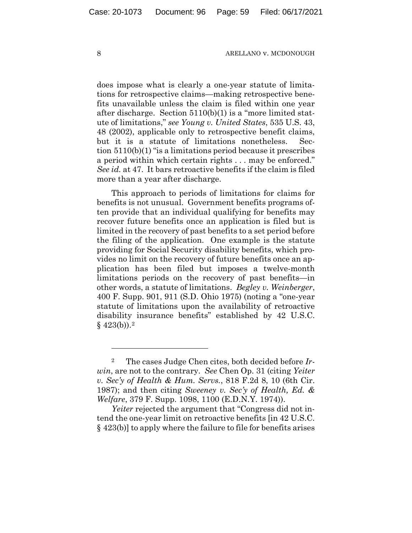does impose what is clearly a one-year statute of limitations for retrospective claims—making retrospective benefits unavailable unless the claim is filed within one year after discharge. Section 5110(b)(1) is a "more limited statute of limitations," *see Young v. United States*, 535 U.S. 43, 48 (2002), applicable only to retrospective benefit claims, but it is a statute of limitations nonetheless. Section 5110(b)(1) "is a limitations period because it prescribes a period within which certain rights . . . may be enforced." *See id.* at 47. It bars retroactive benefits if the claim is filed more than a year after discharge.

This approach to periods of limitations for claims for benefits is not unusual. Government benefits programs often provide that an individual qualifying for benefits may recover future benefits once an application is filed but is limited in the recovery of past benefits to a set period before the filing of the application. One example is the statute providing for Social Security disability benefits, which provides no limit on the recovery of future benefits once an application has been filed but imposes a twelve-month limitations periods on the recovery of past benefits—in other words, a statute of limitations. *Begley v. Weinberger*, 400 F. Supp. 901, 911 (S.D. Ohio 1975) (noting a "one-year statute of limitations upon the availability of retroactive disability insurance benefits" established by 42 U.S.C.  $§$  4[2](#page-58-0)3(b)).<sup>2</sup>

*Yeiter* rejected the argument that "Congress did not intend the one-year limit on retroactive benefits [in 42 U.S.C. § 423(b)] to apply where the failure to file for benefits arises

<span id="page-58-0"></span><sup>2</sup> The cases Judge Chen cites, both decided before *Irwin*, are not to the contrary. *See* Chen Op. 31 (citing *Yeiter v. Sec'y of Health & Hum. Servs.*, 818 F.2d 8, 10 (6th Cir. 1987); and then citing *Sweeney v. Sec'y of Health, Ed. & Welfare*, 379 F. Supp. 1098, 1100 (E.D.N.Y. 1974)).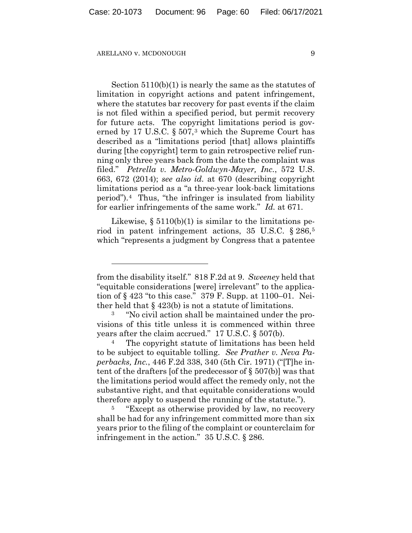Section 5110(b)(1) is nearly the same as the statutes of limitation in copyright actions and patent infringement, where the statutes bar recovery for past events if the claim is not filed within a specified period, but permit recovery for future acts. The copyright limitations period is gov-erned by 17 U.S.C. § 507,<sup>[3](#page-59-0)</sup> which the Supreme Court has described as a "limitations period [that] allows plaintiffs during [the copyright] term to gain retrospective relief running only three years back from the date the complaint was filed." *Petrella v. Metro-Goldwyn-Mayer, Inc.*, 572 U.S. 663, 672 (2014); *see also id.* at 670 (describing copyright limitations period as a "a three-year look-back limitations period").[4](#page-59-1) Thus, "the infringer is insulated from liability for earlier infringements of the same work." *Id.* at 671.

Likewise,  $\S 5110(b)(1)$  is similar to the limitations period in patent infringement actions, 35 U.S.C. § 286,[5](#page-59-2) which "represents a judgment by Congress that a patentee

from the disability itself." 818 F.2d at 9. *Sweeney* held that "equitable considerations [were] irrelevant" to the application of § 423 "to this case." 379 F. Supp. at 1100–01. Neither held that  $\S$  423(b) is not a statute of limitations.

<span id="page-59-0"></span><sup>3</sup> "No civil action shall be maintained under the provisions of this title unless it is commenced within three years after the claim accrued." 17 U.S.C. § 507(b).

<span id="page-59-1"></span><sup>4</sup> The copyright statute of limitations has been held to be subject to equitable tolling. *See Prather v. Neva Paperbacks, Inc.*, 446 F.2d 338, 340 (5th Cir. 1971) ("[T]he intent of the drafters [of the predecessor of § 507(b)] was that the limitations period would affect the remedy only, not the substantive right, and that equitable considerations would therefore apply to suspend the running of the statute.").

<span id="page-59-2"></span><sup>&</sup>lt;sup>5</sup> "Except as otherwise provided by law, no recovery shall be had for any infringement committed more than six years prior to the filing of the complaint or counterclaim for infringement in the action." 35 U.S.C. § 286.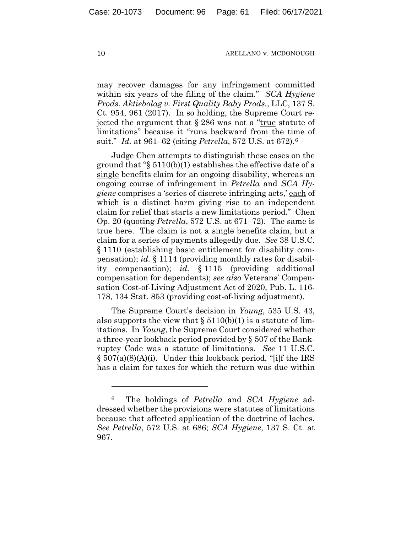may recover damages for any infringement committed within six years of the filing of the claim." *SCA Hygiene Prods. Aktiebolag v. First Quality Baby Prods.*, LLC, 137 S. Ct. 954, 961 (2017). In so holding, the Supreme Court rejected the argument that § 286 was not a "true statute of limitations" because it "runs backward from the time of suit." *Id.* at 961–62 (citing *Petrella*, 572 U.S. at 672).[6](#page-60-0)

Judge Chen attempts to distinguish these cases on the ground that "§ 5110(b)(1) establishes the effective date of a single benefits claim for an ongoing disability, whereas an ongoing course of infringement in *Petrella* and *SCA Hygiene* comprises a 'series of discrete infringing acts,' each of which is a distinct harm giving rise to an independent claim for relief that starts a new limitations period." Chen Op. 20 (quoting *Petrella*, 572 U.S. at 671–72). The same is true here. The claim is not a single benefits claim, but a claim for a series of payments allegedly due. *See* 38 U.S.C. § 1110 (establishing basic entitlement for disability compensation); *id.* § 1114 (providing monthly rates for disability compensation); *id.* § 1115 (providing additional compensation for dependents); *see also* Veterans' Compensation Cost-of-Living Adjustment Act of 2020, Pub. L. 116- 178, 134 Stat. 853 (providing cost-of-living adjustment).

The Supreme Court's decision in *Young*, 535 U.S. 43, also supports the view that  $\S 5110(b)(1)$  is a statute of limitations. In *Young*, the Supreme Court considered whether a three-year lookback period provided by § 507 of the Bankruptcy Code was a statute of limitations. *See* 11 U.S.C. § 507(a)(8)(A)(i). Under this lookback period, "[i]f the IRS has a claim for taxes for which the return was due within

<span id="page-60-0"></span><sup>6</sup> The holdings of *Petrella* and *SCA Hygiene* addressed whether the provisions were statutes of limitations because that affected application of the doctrine of laches. *See Petrella*, 572 U.S. at 686; *SCA Hygiene*, 137 S. Ct. at 967.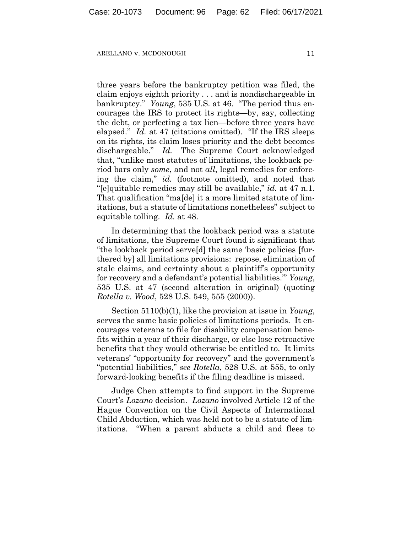three years before the bankruptcy petition was filed, the claim enjoys eighth priority . . . and is nondischargeable in bankruptcy." *Young*, 535 U.S. at 46. "The period thus encourages the IRS to protect its rights—by, say, collecting the debt, or perfecting a tax lien—before three years have elapsed." *Id.* at 47 (citations omitted). "If the IRS sleeps on its rights, its claim loses priority and the debt becomes dischargeable." *Id.* The Supreme Court acknowledged that, "unlike most statutes of limitations, the lookback period bars only *some*, and not *all*, legal remedies for enforcing the claim," *id.* (footnote omitted), and noted that "[e]quitable remedies may still be available," *id.* at 47 n.1. That qualification "ma[de] it a more limited statute of limitations, but a statute of limitations nonetheless" subject to equitable tolling. *Id.* at 48.

In determining that the lookback period was a statute of limitations, the Supreme Court found it significant that "the lookback period serve[d] the same 'basic policies [furthered by] all limitations provisions: repose, elimination of stale claims, and certainty about a plaintiff's opportunity for recovery and a defendant's potential liabilities.'" *Young*, 535 U.S. at 47 (second alteration in original) (quoting *Rotella v. Wood*, 528 U.S. 549, 555 (2000)).

Section 5110(b)(1), like the provision at issue in *Young*, serves the same basic policies of limitations periods. It encourages veterans to file for disability compensation benefits within a year of their discharge, or else lose retroactive benefits that they would otherwise be entitled to. It limits veterans' "opportunity for recovery" and the government's "potential liabilities," *see Rotella*, 528 U.S. at 555, to only forward-looking benefits if the filing deadline is missed.

Judge Chen attempts to find support in the Supreme Court's *Lozano* decision. *Lozano* involved Article 12 of the Hague Convention on the Civil Aspects of International Child Abduction, which was held not to be a statute of limitations. "When a parent abducts a child and flees to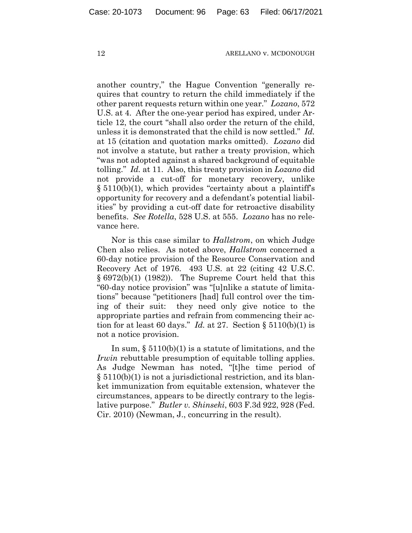another country," the Hague Convention "generally requires that country to return the child immediately if the other parent requests return within one year." *Lozano*, 572 U.S. at 4. After the one-year period has expired, under Article 12, the court "shall also order the return of the child, unless it is demonstrated that the child is now settled." *Id.* at 15 (citation and quotation marks omitted). *Lozano* did not involve a statute, but rather a treaty provision, which "was not adopted against a shared background of equitable tolling." *Id.* at 11. Also, this treaty provision in *Lozano* did not provide a cut-off for monetary recovery, unlike § 5110(b)(1), which provides "certainty about a plaintiff's opportunity for recovery and a defendant's potential liabilities" by providing a cut-off date for retroactive disability benefits. *See Rotella*, 528 U.S. at 555. *Lozano* has no relevance here.

Nor is this case similar to *Hallstrom*, on which Judge Chen also relies. As noted above, *Hallstrom* concerned a 60-day notice provision of the Resource Conservation and Recovery Act of 1976. 493 U.S. at 22 (citing 42 U.S.C.  $§ 6972(b)(1) (1982)$ . The Supreme Court held that this "60-day notice provision" was "[u]nlike a statute of limitations" because "petitioners [had] full control over the timing of their suit: they need only give notice to the appropriate parties and refrain from commencing their action for at least 60 days." *Id.* at 27. Section  $\S 5110(b)(1)$  is not a notice provision.

In sum,  $\S 5110(b)(1)$  is a statute of limitations, and the *Irwin* rebuttable presumption of equitable tolling applies. As Judge Newman has noted, "[t]he time period of § 5110(b)(1) is not a jurisdictional restriction, and its blanket immunization from equitable extension, whatever the circumstances, appears to be directly contrary to the legislative purpose." *Butler v. Shinseki*, 603 F.3d 922, 928 (Fed. Cir. 2010) (Newman, J., concurring in the result).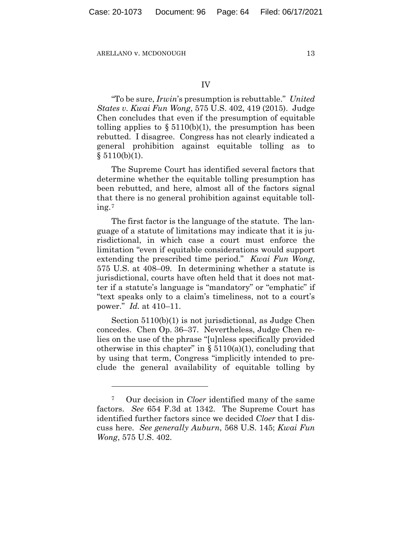"To be sure, *Irwin*'s presumption is rebuttable." *United States v. Kwai Fun Wong*, 575 U.S. 402, 419 (2015). Judge Chen concludes that even if the presumption of equitable tolling applies to  $\S 5110(b)(1)$ , the presumption has been rebutted. I disagree. Congress has not clearly indicated a general prohibition against equitable tolling as to  $§ 5110(b)(1).$ 

The Supreme Court has identified several factors that determine whether the equitable tolling presumption has been rebutted, and here, almost all of the factors signal that there is no general prohibition against equitable tolling.[7](#page-63-0)

The first factor is the language of the statute. The language of a statute of limitations may indicate that it is jurisdictional, in which case a court must enforce the limitation "even if equitable considerations would support extending the prescribed time period." *Kwai Fun Wong*, 575 U.S. at 408–09. In determining whether a statute is jurisdictional, courts have often held that it does not matter if a statute's language is "mandatory" or "emphatic" if "text speaks only to a claim's timeliness, not to a court's power." *Id.* at 410–11.

Section 5110(b)(1) is not jurisdictional, as Judge Chen concedes. Chen Op. 36–37. Nevertheless, Judge Chen relies on the use of the phrase "[u]nless specifically provided otherwise in this chapter" in  $\S 5110(a)(1)$ , concluding that by using that term, Congress "implicitly intended to preclude the general availability of equitable tolling by

<span id="page-63-0"></span><sup>7</sup> Our decision in *Cloer* identified many of the same factors. *See* 654 F.3d at 1342. The Supreme Court has identified further factors since we decided *Cloer* that I discuss here. *See generally Auburn*, 568 U.S. 145; *Kwai Fun Wong*, 575 U.S. 402.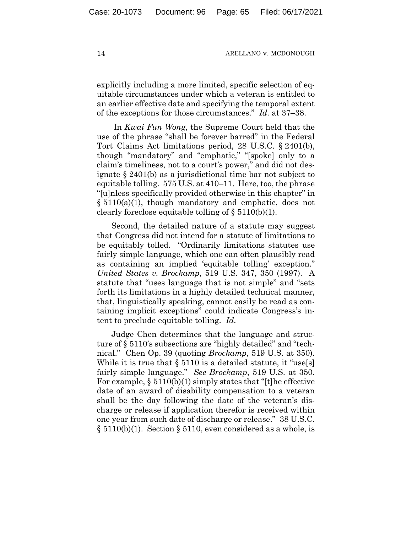explicitly including a more limited, specific selection of equitable circumstances under which a veteran is entitled to an earlier effective date and specifying the temporal extent of the exceptions for those circumstances." *Id.* at 37–38.

In *Kwai Fun Wong*, the Supreme Court held that the use of the phrase "shall be forever barred" in the Federal Tort Claims Act limitations period, 28 U.S.C. § 2401(b), though "mandatory" and "emphatic," "[spoke] only to a claim's timeliness, not to a court's power," and did not designate § 2401(b) as a jurisdictional time bar not subject to equitable tolling. 575 U.S. at 410–11. Here, too, the phrase "[u]nless specifically provided otherwise in this chapter" in § 5110(a)(1), though mandatory and emphatic, does not clearly foreclose equitable tolling of  $\S 5110(b)(1)$ .

Second, the detailed nature of a statute may suggest that Congress did not intend for a statute of limitations to be equitably tolled. "Ordinarily limitations statutes use fairly simple language, which one can often plausibly read as containing an implied 'equitable tolling' exception." *United States v. Brockamp*, 519 U.S. 347, 350 (1997). A statute that "uses language that is not simple" and "sets forth its limitations in a highly detailed technical manner, that, linguistically speaking, cannot easily be read as containing implicit exceptions" could indicate Congress's intent to preclude equitable tolling. *Id.*

Judge Chen determines that the language and structure of § 5110's subsections are "highly detailed" and "technical." Chen Op. 39 (quoting *Brockamp*, 519 U.S. at 350). While it is true that  $\S 5110$  is a detailed statute, it "use[s] fairly simple language." *See Brockamp*, 519 U.S. at 350. For example,  $\S 5110(b)(1)$  simply states that "[t]he effective date of an award of disability compensation to a veteran shall be the day following the date of the veteran's discharge or release if application therefor is received within one year from such date of discharge or release." 38 U.S.C.  $\S 5110(b)(1)$ . Section  $\S 5110$ , even considered as a whole, is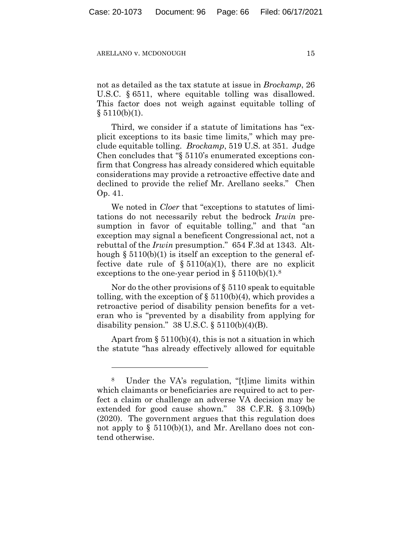not as detailed as the tax statute at issue in *Brockamp*, 26 U.S.C. § 6511, where equitable tolling was disallowed. This factor does not weigh against equitable tolling of  $§ 5110(b)(1).$ 

Third, we consider if a statute of limitations has "explicit exceptions to its basic time limits," which may preclude equitable tolling. *Brockamp*, 519 U.S. at 351. Judge Chen concludes that "§ 5110's enumerated exceptions confirm that Congress has already considered which equitable considerations may provide a retroactive effective date and declined to provide the relief Mr. Arellano seeks." Chen Op. 41.

We noted in *Cloer* that "exceptions to statutes of limitations do not necessarily rebut the bedrock *Irwin* presumption in favor of equitable tolling," and that "an exception may signal a beneficent Congressional act, not a rebuttal of the *Irwin* presumption." 654 F.3d at 1343. Although  $\S 5110(b)(1)$  is itself an exception to the general effective date rule of  $\S 5110(a)(1)$ , there are no explicit exceptions to the one-year period in  $\S 5110(b)(1).$ <sup>[8](#page-65-0)</sup>

Nor do the other provisions of § 5110 speak to equitable tolling, with the exception of  $\S 5110(b)(4)$ , which provides a retroactive period of disability pension benefits for a veteran who is "prevented by a disability from applying for disability pension."  $38 \text{ U.S. C. }$  §  $5110(b)(4)(B)$ .

Apart from  $\S 5110(b)(4)$ , this is not a situation in which the statute "has already effectively allowed for equitable

<span id="page-65-0"></span>Under the VA's regulation, "[t]ime limits within which claimants or beneficiaries are required to act to perfect a claim or challenge an adverse VA decision may be extended for good cause shown." 38 C.F.R. § 3.109(b) (2020). The government argues that this regulation does not apply to  $\S$  5110(b)(1), and Mr. Arellano does not contend otherwise.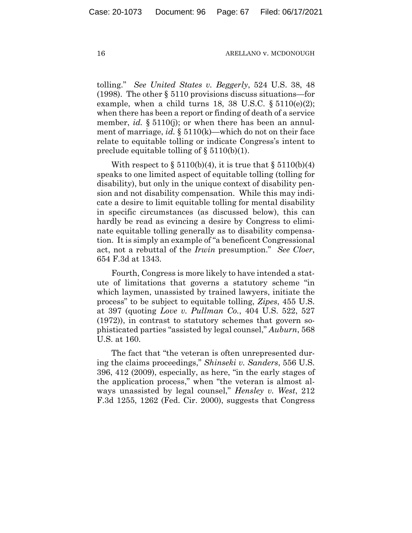tolling." *See United States v. Beggerly*, 524 U.S. 38, 48 (1998). The other § 5110 provisions discuss situations—for example, when a child turns 18, 38 U.S.C.  $\S 5110(e)(2)$ ; when there has been a report or finding of death of a service member, *id.* § 5110(*j*); or when there has been an annulment of marriage, *id.* § 5110(k)—which do not on their face relate to equitable tolling or indicate Congress's intent to preclude equitable tolling of  $\S$  5110(b)(1).

With respect to  $\S 5110(b)(4)$ , it is true that  $\S 5110(b)(4)$ speaks to one limited aspect of equitable tolling (tolling for disability), but only in the unique context of disability pension and not disability compensation. While this may indicate a desire to limit equitable tolling for mental disability in specific circumstances (as discussed below), this can hardly be read as evincing a desire by Congress to eliminate equitable tolling generally as to disability compensation. It is simply an example of "a beneficent Congressional act, not a rebuttal of the *Irwin* presumption." *See Cloer*, 654 F.3d at 1343.

Fourth, Congress is more likely to have intended a statute of limitations that governs a statutory scheme "in which laymen, unassisted by trained lawyers, initiate the process" to be subject to equitable tolling, *Zipes*, 455 U.S. at 397 (quoting *Love v. Pullman Co.*, 404 U.S. 522, 527 (1972)), in contrast to statutory schemes that govern sophisticated parties "assisted by legal counsel," *Auburn*, 568 U.S. at 160.

The fact that "the veteran is often unrepresented during the claims proceedings," *Shinseki v. Sanders*, 556 U.S. 396, 412 (2009), especially, as here, "in the early stages of the application process," when "the veteran is almost always unassisted by legal counsel," *Hensley v. West*, 212 F.3d 1255, 1262 (Fed. Cir. 2000), suggests that Congress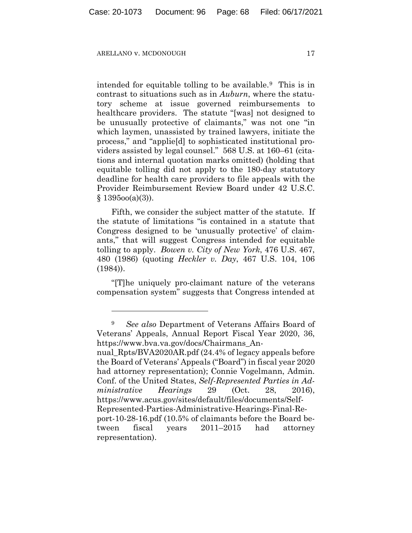intended for equitable tolling to be available.[9](#page-67-0) This is in contrast to situations such as in *Auburn*, where the statutory scheme at issue governed reimbursements to healthcare providers. The statute "[was] not designed to be unusually protective of claimants," was not one "in which laymen, unassisted by trained lawyers, initiate the process," and "applie[d] to sophisticated institutional providers assisted by legal counsel." 568 U.S. at 160–61 (citations and internal quotation marks omitted) (holding that equitable tolling did not apply to the 180-day statutory deadline for health care providers to file appeals with the Provider Reimbursement Review Board under 42 U.S.C.  $§ 139500(a)(3)$ .

Fifth, we consider the subject matter of the statute. If the statute of limitations "is contained in a statute that Congress designed to be 'unusually protective' of claimants," that will suggest Congress intended for equitable tolling to apply. *Bowen v. City of New York*, 476 U.S. 467, 480 (1986) (quoting *Heckler v. Day*, 467 U.S. 104, 106 (1984)).

"[T]he uniquely pro-claimant nature of the veterans compensation system" suggests that Congress intended at

representation).

<span id="page-67-0"></span><sup>9</sup> *See also* Department of Veterans Affairs Board of Veterans' Appeals, Annual Report Fiscal Year 2020, 36, https://www.bva.va.gov/docs/Chairmans\_Annual Rpts/BVA2020AR.pdf (24.4% of legacy appeals before the Board of Veterans' Appeals ("Board") in fiscal year 2020 had attorney representation); Connie Vogelmann, Admin. Conf. of the United States, *Self-Represented Parties in Ad-*

*ministrative Hearings* 29 (Oct. 28, 2016), https://www.acus.gov/sites/default/files/documents/Self-Represented-Parties-Administrative-Hearings-Final-Report-10-28-16.pdf (10.5% of claimants before the Board between fiscal years 2011–2015 had attorney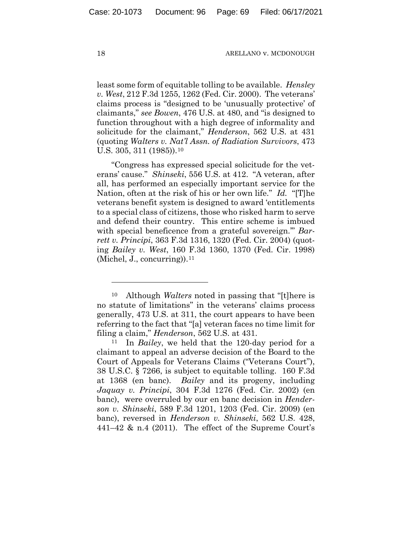least some form of equitable tolling to be available. *Hensley v. West*, 212 F.3d 1255, 1262 (Fed. Cir. 2000). The veterans' claims process is "designed to be 'unusually protective' of claimants," *see Bowen*, 476 U.S. at 480, and "is designed to function throughout with a high degree of informality and solicitude for the claimant," *Henderson*, 562 U.S. at 431 (quoting *Walters v. Nat'l Assn. of Radiation Survivors*, 473 U.S. 305, 311 (1985)).<sup>[10](#page-68-0)</sup>

"Congress has expressed special solicitude for the veterans' cause." *Shinseki*, 556 U.S. at 412. "A veteran, after all, has performed an especially important service for the Nation, often at the risk of his or her own life." *Id.* "[T]he veterans benefit system is designed to award 'entitlements to a special class of citizens, those who risked harm to serve and defend their country. This entire scheme is imbued with special beneficence from a grateful sovereign.'" *Barrett v. Principi*, 363 F.3d 1316, 1320 (Fed. Cir. 2004) (quoting *Bailey v. West*, 160 F.3d 1360, 1370 (Fed. Cir. 1998) (Michel, J., concurring)).[11](#page-68-1)

<span id="page-68-0"></span>Although *Walters* noted in passing that "[t]here is no statute of limitations" in the veterans' claims process generally, 473 U.S. at 311, the court appears to have been referring to the fact that "[a] veteran faces no time limit for filing a claim," *Henderson*, 562 U.S. at 431.

<span id="page-68-1"></span><sup>11</sup> In *Bailey*, we held that the 120-day period for a claimant to appeal an adverse decision of the Board to the Court of Appeals for Veterans Claims ("Veterans Court"), 38 U.S.C. § 7266, is subject to equitable tolling. 160 F.3d at 1368 (en banc). *Bailey* and its progeny, including *Jaquay v. Principi*, 304 F.3d 1276 (Fed. Cir. 2002) (en banc), were overruled by our en banc decision in *Henderson v. Shinseki*, 589 F.3d 1201, 1203 (Fed. Cir. 2009) (en banc), reversed in *Henderson v. Shinseki*, 562 U.S. 428, 441–42 & n.4 (2011). The effect of the Supreme Court's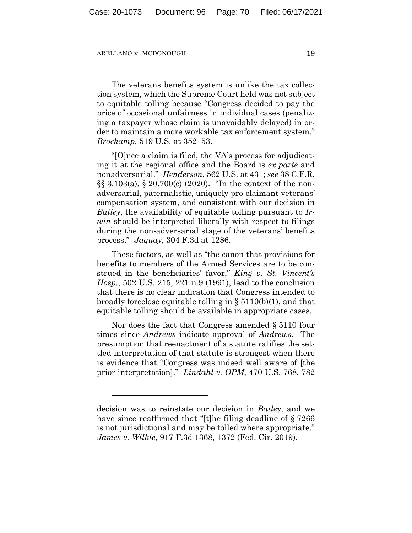The veterans benefits system is unlike the tax collection system, which the Supreme Court held was not subject to equitable tolling because "Congress decided to pay the price of occasional unfairness in individual cases (penalizing a taxpayer whose claim is unavoidably delayed) in order to maintain a more workable tax enforcement system." *Brockamp*, 519 U.S. at 352–53.

"[O]nce a claim is filed, the VA's process for adjudicating it at the regional office and the Board is *ex parte* and nonadversarial." *Henderson*, 562 U.S. at 431; *see* 38 C.F.R. §§ 3.103(a), § 20.700(c) (2020). "In the context of the nonadversarial, paternalistic, uniquely pro-claimant veterans' compensation system, and consistent with our decision in *Bailey*, the availability of equitable tolling pursuant to *Irwin* should be interpreted liberally with respect to filings during the non-adversarial stage of the veterans' benefits process." *Jaquay*, 304 F.3d at 1286.

These factors, as well as "the canon that provisions for benefits to members of the Armed Services are to be construed in the beneficiaries' favor," *King v. St. Vincent's Hosp.*, 502 U.S. 215, 221 n.9 (1991), lead to the conclusion that there is no clear indication that Congress intended to broadly foreclose equitable tolling in § 5110(b)(1), and that equitable tolling should be available in appropriate cases.

Nor does the fact that Congress amended § 5110 four times since *Andrews* indicate approval of *Andrews*. The presumption that reenactment of a statute ratifies the settled interpretation of that statute is strongest when there is evidence that "Congress was indeed well aware of [the prior interpretation]." *Lindahl v. OPM*, 470 U.S. 768, 782

decision was to reinstate our decision in *Bailey*, and we have since reaffirmed that "[t]he filing deadline of §7266 is not jurisdictional and may be tolled where appropriate." *James v. Wilkie*, 917 F.3d 1368, 1372 (Fed. Cir. 2019).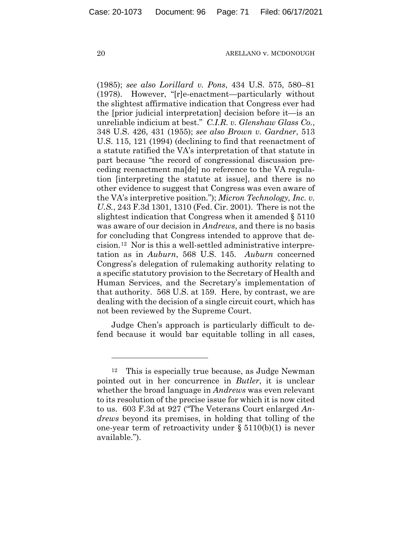(1985); *see also Lorillard v. Pons*, 434 U.S. 575, 580–81 (1978). However, "[r]e-enactment—particularly without the slightest affirmative indication that Congress ever had the [prior judicial interpretation] decision before it—is an unreliable indicium at best." *C.I.R. v. Glenshaw Glass Co.*, 348 U.S. 426, 431 (1955); *see also Brown v. Gardner*, 513 U.S. 115, 121 (1994) (declining to find that reenactment of a statute ratified the VA's interpretation of that statute in part because "the record of congressional discussion preceding reenactment ma[de] no reference to the VA regulation [interpreting the statute at issue], and there is no other evidence to suggest that Congress was even aware of the VA's interpretive position."); *Micron Technology, Inc. v. U.S.*, 243 F.3d 1301, 1310 (Fed. Cir. 2001). There is not the slightest indication that Congress when it amended § 5110 was aware of our decision in *Andrews*, and there is no basis for concluding that Congress intended to approve that decision.[12](#page-70-0) Nor is this a well-settled administrative interpretation as in *Auburn*, 568 U.S. 145. *Auburn* concerned Congress's delegation of rulemaking authority relating to a specific statutory provision to the Secretary of Health and Human Services, and the Secretary's implementation of that authority. 568 U.S. at 159. Here, by contrast, we are dealing with the decision of a single circuit court, which has not been reviewed by the Supreme Court.

Judge Chen's approach is particularly difficult to defend because it would bar equitable tolling in all cases,

<span id="page-70-0"></span><sup>12</sup> This is especially true because, as Judge Newman pointed out in her concurrence in *Butler*, it is unclear whether the broad language in *Andrews* was even relevant to its resolution of the precise issue for which it is now cited to us. 603 F.3d at 927 ("The Veterans Court enlarged *Andrews* beyond its premises, in holding that tolling of the one-year term of retroactivity under  $\S 5110(b)(1)$  is never available.").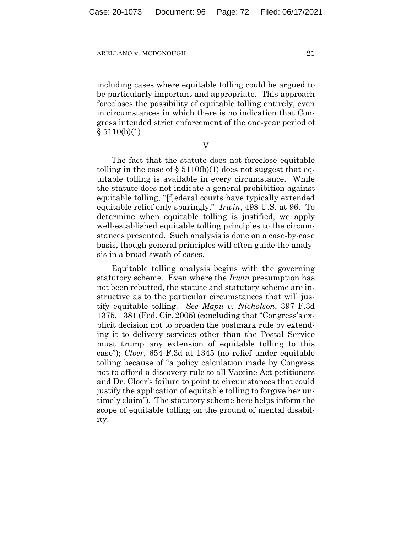including cases where equitable tolling could be argued to be particularly important and appropriate. This approach forecloses the possibility of equitable tolling entirely, even in circumstances in which there is no indication that Congress intended strict enforcement of the one-year period of  $§ 5110(b)(1).$ 

V

The fact that the statute does not foreclose equitable tolling in the case of  $\S 5110(b)(1)$  does not suggest that equitable tolling is available in every circumstance. While the statute does not indicate a general prohibition against equitable tolling, "[f]ederal courts have typically extended equitable relief only sparingly." *Irwin*, 498 U.S. at 96. To determine when equitable tolling is justified, we apply well-established equitable tolling principles to the circumstances presented. Such analysis is done on a case-by-case basis, though general principles will often guide the analysis in a broad swath of cases.

Equitable tolling analysis begins with the governing statutory scheme. Even where the *Irwin* presumption has not been rebutted, the statute and statutory scheme are instructive as to the particular circumstances that will justify equitable tolling. *See Mapu v. Nicholson*, 397 F.3d 1375, 1381 (Fed. Cir. 2005) (concluding that "Congress's explicit decision not to broaden the postmark rule by extending it to delivery services other than the Postal Service must trump any extension of equitable tolling to this case"); *Cloer*, 654 F.3d at 1345 (no relief under equitable tolling because of "a policy calculation made by Congress not to afford a discovery rule to all Vaccine Act petitioners and Dr. Cloer's failure to point to circumstances that could justify the application of equitable tolling to forgive her untimely claim"). The statutory scheme here helps inform the scope of equitable tolling on the ground of mental disability.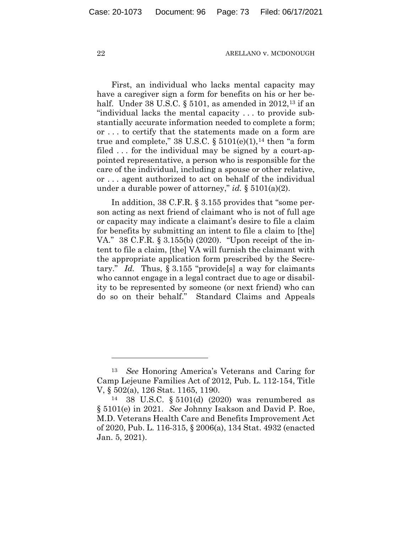First, an individual who lacks mental capacity may have a caregiver sign a form for benefits on his or her behalf. Under 38 U.S.C.  $\S 5101$ , as amended in 2012,<sup>[13](#page-72-0)</sup> if an "individual lacks the mental capacity . . . to provide substantially accurate information needed to complete a form; or . . . to certify that the statements made on a form are true and complete," 38 U.S.C.  $\S 5101(e)(1)$ ,<sup>[14](#page-72-1)</sup> then "a form" filed . . . for the individual may be signed by a court-appointed representative, a person who is responsible for the care of the individual, including a spouse or other relative, or . . . agent authorized to act on behalf of the individual under a durable power of attorney," *id.* § 5101(a)(2).

In addition, 38 C.F.R. § 3.155 provides that "some person acting as next friend of claimant who is not of full age or capacity may indicate a claimant's desire to file a claim for benefits by submitting an intent to file a claim to [the] VA." 38 C.F.R. § 3.155(b) (2020). "Upon receipt of the intent to file a claim, [the] VA will furnish the claimant with the appropriate application form prescribed by the Secretary." *Id.* Thus, § 3.155 "provide[s] a way for claimants who cannot engage in a legal contract due to age or disability to be represented by someone (or next friend) who can do so on their behalf." Standard Claims and Appeals

<span id="page-72-0"></span><sup>13</sup> *See* Honoring America's Veterans and Caring for Camp Lejeune Families Act of 2012, Pub. L. 112-154, Title V, § 502(a), 126 Stat. 1165, 1190.

<span id="page-72-1"></span><sup>14</sup> 38 U.S.C. § 5101(d) (2020) was renumbered as § 5101(e) in 2021. *See* Johnny Isakson and David P. Roe, M.D. Veterans Health Care and Benefits Improvement Act of 2020, Pub. L. 116-315, § 2006(a), 134 Stat. 4932 (enacted Jan. 5, 2021).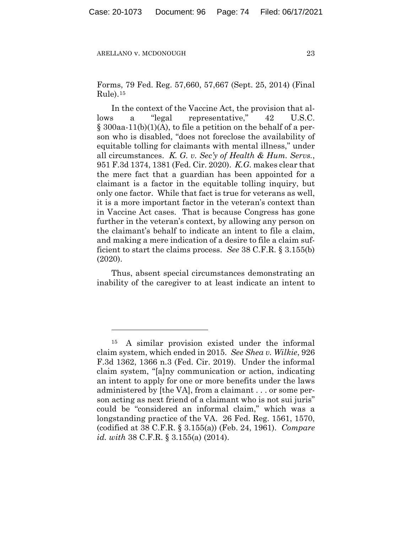Forms, 79 Fed. Reg. 57,660, 57,667 (Sept. 25, 2014) (Final  $Rule).<sup>15</sup>$  $Rule).<sup>15</sup>$  $Rule).<sup>15</sup>$ 

In the context of the Vaccine Act, the provision that allows a "legal representative," 42 U.S.C. § 300aa-11(b)(1)(A), to file a petition on the behalf of a person who is disabled, "does not foreclose the availability of equitable tolling for claimants with mental illness," under all circumstances. *K. G. v. Sec'y of Health & Hum. Servs.*, 951 F.3d 1374, 1381 (Fed. Cir. 2020). *K.G.* makes clear that the mere fact that a guardian has been appointed for a claimant is a factor in the equitable tolling inquiry, but only one factor. While that fact is true for veterans as well, it is a more important factor in the veteran's context than in Vaccine Act cases. That is because Congress has gone further in the veteran's context, by allowing any person on the claimant's behalf to indicate an intent to file a claim, and making a mere indication of a desire to file a claim sufficient to start the claims process. *See* 38 C.F.R. § 3.155(b) (2020).

Thus, absent special circumstances demonstrating an inability of the caregiver to at least indicate an intent to

<span id="page-73-0"></span><sup>15</sup> A similar provision existed under the informal claim system, which ended in 2015. *See Shea v. Wilkie*, 926 F.3d 1362, 1366 n.3 (Fed. Cir. 2019). Under the informal claim system, "[a]ny communication or action, indicating an intent to apply for one or more benefits under the laws administered by [the VA], from a claimant . . . or some person acting as next friend of a claimant who is not sui juris" could be "considered an informal claim," which was a longstanding practice of the VA. 26 Fed. Reg. 1561, 1570, (codified at 38 C.F.R. § 3.155(a)) (Feb. 24, 1961). *Compare id. with* 38 C.F.R. § 3.155(a) (2014).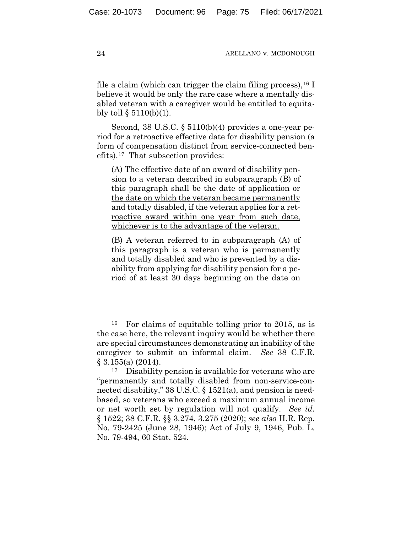file a claim (which can trigger the claim filing process),  $^{16}$  $^{16}$  $^{16}$  I believe it would be only the rare case where a mentally disabled veteran with a caregiver would be entitled to equitably toll  $\S$  5110(b)(1).

Second, 38 U.S.C. § 5110(b)(4) provides a one-year period for a retroactive effective date for disability pension (a form of compensation distinct from service-connected benefits).[17](#page-74-1) That subsection provides:

(A) The effective date of an award of disability pension to a veteran described in subparagraph (B) of this paragraph shall be the date of application or the date on which the veteran became permanently and totally disabled, if the veteran applies for a retroactive award within one year from such date, whichever is to the advantage of the veteran.

(B) A veteran referred to in subparagraph (A) of this paragraph is a veteran who is permanently and totally disabled and who is prevented by a disability from applying for disability pension for a period of at least 30 days beginning on the date on

<span id="page-74-0"></span><sup>16</sup> For claims of equitable tolling prior to 2015, as is the case here, the relevant inquiry would be whether there are special circumstances demonstrating an inability of the caregiver to submit an informal claim. *See* 38 C.F.R. § 3.155(a) (2014).

<span id="page-74-1"></span><sup>17</sup> Disability pension is available for veterans who are "permanently and totally disabled from non-service-connected disability," 38 U.S.C. § 1521(a), and pension is needbased, so veterans who exceed a maximum annual income or net worth set by regulation will not qualify. *See id.* § 1522; 38 C.F.R. §§ 3.274, 3.275 (2020); *see also* H.R. Rep. No. 79-2425 (June 28, 1946); Act of July 9, 1946, Pub. L. No. 79-494, 60 Stat. 524.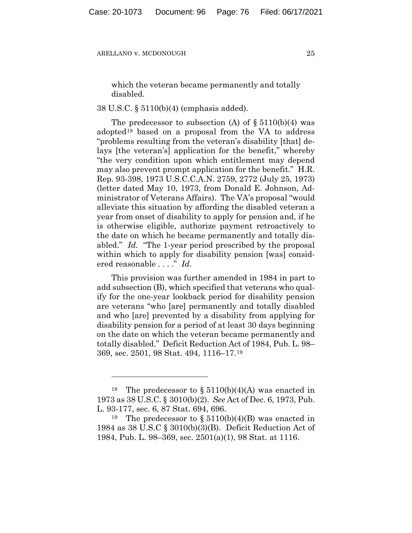which the veteran became permanently and totally disabled.

## 38 U.S.C. § 5110(b)(4) (emphasis added).

The predecessor to subsection (A) of  $\S 5110(b)(4)$  was adopted[18](#page-75-0) based on a proposal from the VA to address "problems resulting from the veteran's disability [that] delays [the veteran's] application for the benefit," whereby "the very condition upon which entitlement may depend may also prevent prompt application for the benefit." H.R. Rep. 93-398, 1973 U.S.C.C.A.N. 2759, 2772 (July 25, 1973) (letter dated May 10, 1973, from Donald E. Johnson, Administrator of Veterans Affairs). The VA's proposal "would alleviate this situation by affording the disabled veteran a year from onset of disability to apply for pension and, if he is otherwise eligible, authorize payment retroactively to the date on which he became permanently and totally disabled." *Id.* "The 1-year period prescribed by the proposal within which to apply for disability pension [was] considered reasonable . . . ." *Id.*

This provision was further amended in 1984 in part to add subsection (B), which specified that veterans who qualify for the one-year lookback period for disability pension are veterans "who [are] permanently and totally disabled and who [are] prevented by a disability from applying for disability pension for a period of at least 30 days beginning on the date on which the veteran became permanently and totally disabled." Deficit Reduction Act of 1984, Pub. L. 98– 369, sec. 2501, 98 Stat. 494, 1116–17.[19](#page-75-1)

<span id="page-75-0"></span><sup>&</sup>lt;sup>18</sup> The predecessor to  $\S 5110(b)(4)(A)$  was enacted in 1973 as 38 U.S.C. § 3010(b)(2). *See* Act of Dec. 6, 1973, Pub. L. 93-177, sec. 6, 87 Stat. 694, 696.

<span id="page-75-1"></span><sup>&</sup>lt;sup>19</sup> The predecessor to  $\S 5110(b)(4)(B)$  was enacted in 1984 as 38 U.S.C § 3010(b)(3)(B). Deficit Reduction Act of 1984, Pub. L. 98–369, sec. 2501(a)(1), 98 Stat. at 1116.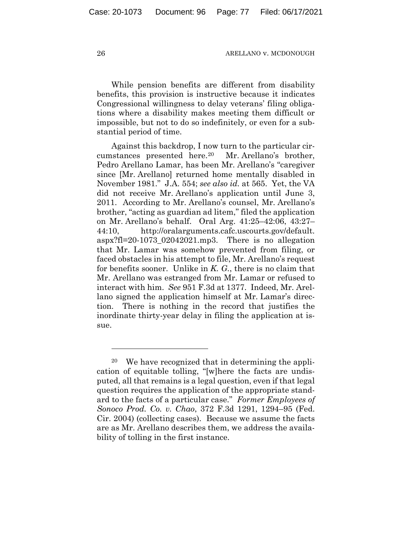While pension benefits are different from disability benefits, this provision is instructive because it indicates Congressional willingness to delay veterans' filing obligations where a disability makes meeting them difficult or impossible, but not to do so indefinitely, or even for a substantial period of time.

Against this backdrop, I now turn to the particular circumstances presented here.[20](#page-76-0) Mr. Arellano's brother, Pedro Arellano Lamar, has been Mr. Arellano's "caregiver since [Mr. Arellano] returned home mentally disabled in November 1981." J.A. 554; *see also id.* at 565. Yet, the VA did not receive Mr. Arellano's application until June 3, 2011. According to Mr. Arellano's counsel, Mr. Arellano's brother, "acting as guardian ad litem," filed the application on Mr. Arellano's behalf. Oral Arg. 41:25–42:06, 43:27– 44:10, http://oralarguments.cafc.uscourts.gov/default. aspx?fl=20-1073\_02042021.mp3. There is no allegation that Mr. Lamar was somehow prevented from filing, or faced obstacles in his attempt to file, Mr. Arellano's request for benefits sooner. Unlike in *K. G.*, there is no claim that Mr. Arellano was estranged from Mr. Lamar or refused to interact with him. *See* 951 F.3d at 1377. Indeed, Mr. Arellano signed the application himself at Mr. Lamar's direction. There is nothing in the record that justifies the inordinate thirty-year delay in filing the application at issue.

<span id="page-76-0"></span><sup>20</sup> We have recognized that in determining the application of equitable tolling, "[w]here the facts are undisputed, all that remains is a legal question, even if that legal question requires the application of the appropriate standard to the facts of a particular case." *Former Employees of Sonoco Prod. Co. v. Chao*, 372 F.3d 1291, 1294–95 (Fed. Cir. 2004) (collecting cases). Because we assume the facts are as Mr. Arellano describes them, we address the availability of tolling in the first instance.